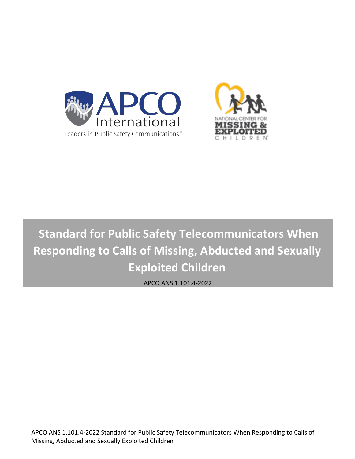



# **Standard for Public Safety Telecommunicators When Responding to Calls of Missing, Abducted and Sexually Exploited Children**

APCO ANS 1.101.4-2022

APCO ANS 1.101.4-2022 Standard for Public Safety Telecommunicators When Responding to Calls of Missing, Abducted and Sexually Exploited Children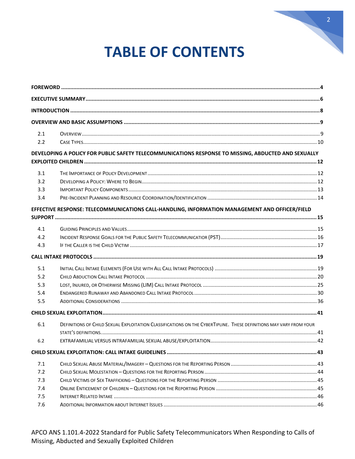

# **TABLE OF CONTENTS**

| 2.1 |                                                                                                                    |  |
|-----|--------------------------------------------------------------------------------------------------------------------|--|
| 2.2 |                                                                                                                    |  |
|     | DEVELOPING A POLICY FOR PUBLIC SAFETY TELECOMMUNICATIONS RESPONSE TO MISSING, ABDUCTED AND SEXUALLY                |  |
|     |                                                                                                                    |  |
| 3.1 |                                                                                                                    |  |
| 3.2 |                                                                                                                    |  |
| 3.3 |                                                                                                                    |  |
| 3.4 |                                                                                                                    |  |
|     | EFFECTIVE RESPONSE: TELECOMMUNICATIONS CALL-HANDLING, INFORMATION MANAGEMENT AND OFFICER/FIELD                     |  |
|     |                                                                                                                    |  |
| 4.1 |                                                                                                                    |  |
| 4.2 |                                                                                                                    |  |
| 4.3 |                                                                                                                    |  |
|     |                                                                                                                    |  |
| 5.1 |                                                                                                                    |  |
| 5.2 |                                                                                                                    |  |
| 5.3 |                                                                                                                    |  |
| 5.4 |                                                                                                                    |  |
| 5.5 |                                                                                                                    |  |
|     |                                                                                                                    |  |
| 6.1 | DEFINITIONS OF CHILD SEXUAL EXPLOITATION CLASSIFICATIONS ON THE CYBERTIPLINE. THESE DEFINITIONS MAY VARY FROM YOUR |  |
|     |                                                                                                                    |  |
| 6.2 |                                                                                                                    |  |
|     |                                                                                                                    |  |
| 7.1 |                                                                                                                    |  |
| 7.2 |                                                                                                                    |  |
| 7.3 |                                                                                                                    |  |
| 7.4 |                                                                                                                    |  |
| 7.5 |                                                                                                                    |  |
| 7.6 |                                                                                                                    |  |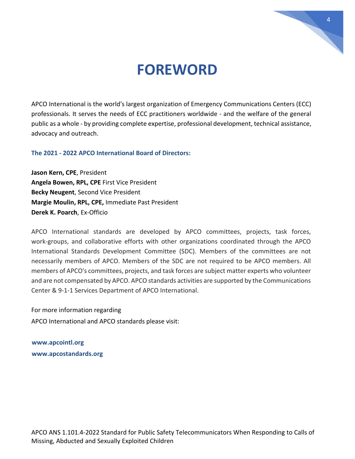

## **FOREWORD**

<span id="page-3-0"></span>APCO International is the world's largest organization of Emergency Communications Centers (ECC) professionals. It serves the needs of ECC practitioners worldwide - and the welfare of the general public as a whole - by providing complete expertise, professional development, technical assistance, advocacy and outreach.

**The 2021 - 2022 APCO International Board of Directors:** 

**Jason Kern, CPE**, President **Angela Bowen, RPL, CPE** First Vice President **Becky Neugent**, Second Vice President **Margie Moulin, RPL, CPE,** Immediate Past President **Derek K. Poarch**, Ex-Officio

APCO International standards are developed by APCO committees, projects, task forces, work-groups, and collaborative efforts with other organizations coordinated through the APCO International Standards Development Committee (SDC). Members of the committees are not necessarily members of APCO. Members of the SDC are not required to be APCO members. All members of APCO's committees, projects, and task forces are subject matter experts who volunteer and are not compensated by APCO. APCO standards activities are supported by the Communications Center & 9-1-1 Services Department of APCO International.

For more information regarding APCO International and APCO standards please visit:

**[www.apcointl.org](http://www.apcointl.org/) [www.apcostandards.org](http://www.apcostandards.org/)**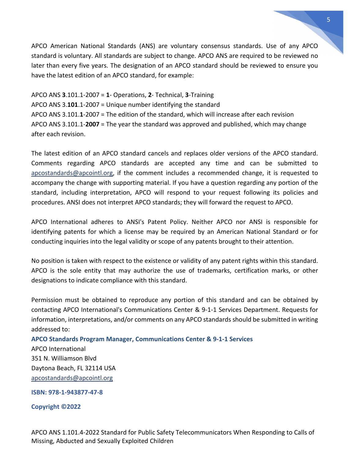APCO American National Standards (ANS) are voluntary consensus standards. Use of any APCO standard is voluntary. All standards are subject to change. APCO ANS are required to be reviewed no later than every five years. The designation of an APCO standard should be reviewed to ensure you have the latest edition of an APCO standard, for example:

APCO ANS **3**.101.1-2007 = **1**- Operations, **2**- Technical, **3**-Training APCO ANS 3.**101**.1-2007 = Unique number identifying the standard APCO ANS 3.101.**1**-2007 = The edition of the standard, which will increase after each revision APCO ANS 3.101.1-**2007** = The year the standard was approved and published, which may change after each revision.

The latest edition of an APCO standard cancels and replaces older versions of the APCO standard. Comments regarding APCO standards are accepted any time and can be submitted to [apcostandards@apcointl.org,](mailto:apcostandards@apcointl.org) if the comment includes a recommended change, it is requested to accompany the change with supporting material. If you have a question regarding any portion of the standard, including interpretation, APCO will respond to your request following its policies and procedures. ANSI does not interpret APCO standards; they will forward the request to APCO.

APCO International adheres to ANSI's Patent Policy. Neither APCO nor ANSI is responsible for identifying patents for which a license may be required by an American National Standard or for conducting inquiries into the legal validity or scope of any patents brought to their attention.

No position is taken with respect to the existence or validity of any patent rights within this standard. APCO is the sole entity that may authorize the use of trademarks, certification marks, or other designations to indicate compliance with this standard.

Permission must be obtained to reproduce any portion of this standard and can be obtained by contacting APCO International's Communications Center & 9-1-1 Services Department. Requests for information, interpretations, and/or comments on any APCO standards should be submitted in writing addressed to:

#### **APCO Standards Program Manager, Communications Center & 9-1-1 Services**

APCO International 351 N. Williamson Blvd Daytona Beach, FL 32114 USA [apcostandards@apcointl.org](mailto:apcostandards@apcointl.org)

**ISBN: 978-1-943877-47-8**

**Copyright ©2022**

APCO ANS 1.101.4-2022 Standard for Public Safety Telecommunicators When Responding to Calls of Missing, Abducted and Sexually Exploited Children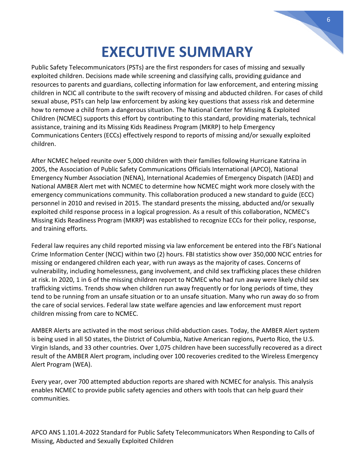## **EXECUTIVE SUMMARY**

<span id="page-5-0"></span>Public Safety Telecommunicators (PSTs) are the first responders for cases of missing and sexually exploited children. Decisions made while screening and classifying calls, providing guidance and resources to parents and guardians, collecting information for law enforcement, and entering missing children in NCIC all contribute to the swift recovery of missing and abducted children. For cases of child sexual abuse, PSTs can help law enforcement by asking key questions that assess risk and determine how to remove a child from a dangerous situation. The National Center for Missing & Exploited Children (NCMEC) supports this effort by contributing to this standard, providing materials, technical assistance, training and its Missing Kids Readiness Program (MKRP) to help Emergency Communications Centers (ECCs) effectively respond to reports of missing and/or sexually exploited children.

After NCMEC helped reunite over 5,000 children with their families following Hurricane Katrina in 2005, the Association of Public Safety Communications Officials International (APCO), National Emergency Number Association (NENA), International Academies of Emergency Dispatch (IAED) and National AMBER Alert met with NCMEC to determine how NCMEC might work more closely with the emergency communications community. This collaboration produced a new standard to guide (ECC) personnel in 2010 and revised in 2015. The standard presents the missing, abducted and/or sexually exploited child response process in a logical progression. As a result of this collaboration, NCMEC's Missing Kids Readiness Program (MKRP) was established to recognize ECCs for their policy, response, and training efforts.

Federal law requires any child reported missing via law enforcement be entered into the FBI's National Crime Information Center (NCIC) within two (2) hours. FBI statistics show over 350,000 NCIC entries for missing or endangered children each year, with run aways as the majority of cases. Concerns of vulnerability, including homelessness, gang involvement, and child sex trafficking places these children at risk. In 2020, 1 in 6 of the missing children report to NCMEC who had run away were likely child sex trafficking victims. Trends show when children run away frequently or for long periods of time, they tend to be running from an unsafe situation or to an unsafe situation. Many who run away do so from the care of social services. Federal law state welfare agencies and law enforcement must report children missing from care to NCMEC.

AMBER Alerts are activated in the most serious child-abduction cases. Today, the AMBER Alert system is being used in all 50 states, the District of Columbia, Native American regions, Puerto Rico, the U.S. Virgin Islands, and 33 other countries. Over 1,075 children have been successfully recovered as a direct result of the AMBER Alert program, including over 100 recoveries credited to the Wireless Emergency Alert Program (WEA).

Every year, over 700 attempted abduction reports are shared with NCMEC for analysis. This analysis enables NCMEC to provide public safety agencies and others with tools that can help guard their communities.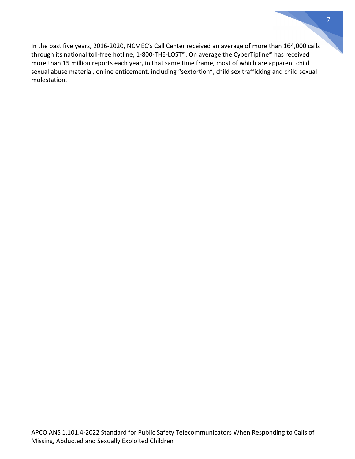In the past five years, 2016-2020, NCMEC's Call Center received an average of more than 164,000 calls through its national toll-free hotline, 1-800-THE-LOST®. On average the CyberTipline® has received more than 15 million reports each year, in that same time frame, most of which are apparent child sexual abuse material, online enticement, including "sextortion", child sex trafficking and child sexual molestation.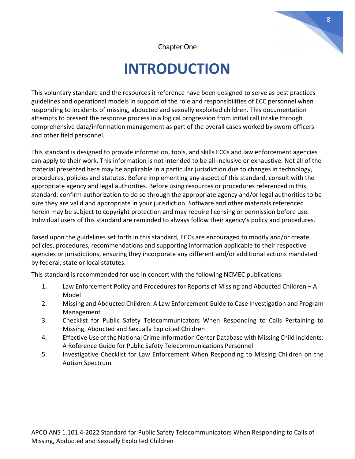Chapter One

# **INTRODUCTION**

<span id="page-7-0"></span>This voluntary standard and the resources it reference have been designed to serve as best practices guidelines and operational models in support of the role and responsibilities of ECC personnel when responding to incidents of missing, abducted and sexually exploited children. This documentation attempts to present the response process in a logical progression from initial call intake through comprehensive data/information management as part of the overall cases worked by sworn officers and other field personnel.

This standard is designed to provide information, tools, and skills ECCs and law enforcement agencies can apply to their work. This information is not intended to be all-inclusive or exhaustive. Not all of the material presented here may be applicable in a particular jurisdiction due to changes in technology, procedures, policies and statutes. Before implementing any aspect of this standard, consult with the appropriate agency and legal authorities. Before using resources or procedures referenced in this standard, confirm authorization to do so through the appropriate agency and/or legal authorities to be sure they are valid and appropriate in your jurisdiction. Software and other materials referenced herein may be subject to copyright protection and may require licensing or permission before use. Individual users of this standard are reminded to always follow their agency's policy and procedures.

Based upon the guidelines set forth in this standard, ECCs are encouraged to modify and/or create policies, procedures, recommendations and supporting information applicable to their respective agencies or jurisdictions, ensuring they incorporate any different and/or additional actions mandated by federal, state or local statutes.

This standard is recommended for use in concert with the following NCMEC publications:

- 1. Law Enforcement Policy and Procedures for Reports of Missing and Abducted Children A Model
- 2. Missing and Abducted Children: A Law Enforcement Guide to Case Investigation and Program Management
- 3. Checklist for Public Safety Telecommunicators When Responding to Calls Pertaining to Missing, Abducted and Sexually Exploited Children
- 4. Effective Use of the National Crime Information Center Database with Missing Child Incidents: A Reference Guide for Public Safety Telecommunications Personnel
- 5. Investigative Checklist for Law Enforcement When Responding to Missing Children on the Autism Spectrum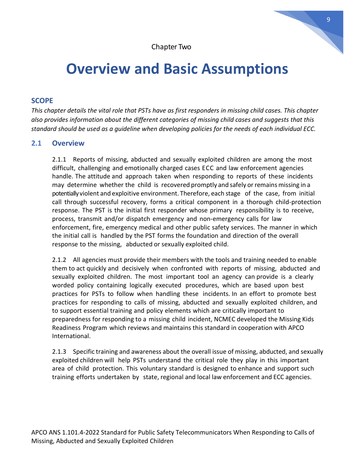# <span id="page-8-0"></span>**Overview and Basic Assumptions**

#### **SCOPE**

*This chapter details the vital role that PSTs have as first responders in missing child cases. This chapter also provides information about the different categories of missing child cases and suggests that this standard should be used as a guideline when developing policies for the needs of each individual ECC.*

#### <span id="page-8-1"></span>**2.1 Overview**

2.1.1 Reports of missing, abducted and sexually exploited children are among the most difficult, challenging and emotionally charged cases ECC and law enforcement agencies handle. The attitude and approach taken when responding to reports of these incidents may determine whether the child is recovered promptly and safely or remains missing in a potentially violent and exploitive environment. Therefore, each stage of the case, from initial call through successful recovery, forms a critical component in a thorough child-protection response. The PST is the initial first responder whose primary responsibility is to receive, process, transmit and/or dispatch emergency and non-emergency calls for law enforcement, fire, emergency medical and other public safety services. The manner in which the initial call is handled by the PST forms the foundation and direction of the overall response to the missing, abducted or sexually exploited child.

2.1.2 All agencies must provide their members with the tools and training needed to enable them to act quickly and decisively when confronted with reports of missing, abducted and sexually exploited children. The most important tool an agency can provide is a clearly worded policy containing logically executed procedures, which are based upon best practices for PSTs to follow when handling these incidents. In an effort to promote best practices for responding to calls of missing, abducted and sexually exploited children, and to support essential training and policy elements which are critically important to preparedness for responding to a missing child incident, NCMEC developed the Missing Kids Readiness Program which reviews and maintains this standard in cooperation with APCO International.

2.1.3 Specific training and awareness about the overall issue of missing, abducted, and sexually exploited children will help PSTs understand the critical role they play in this important area of child protection. This voluntary standard is designed to enhance and support such training efforts undertaken by state, regional and local law enforcement and ECC agencies.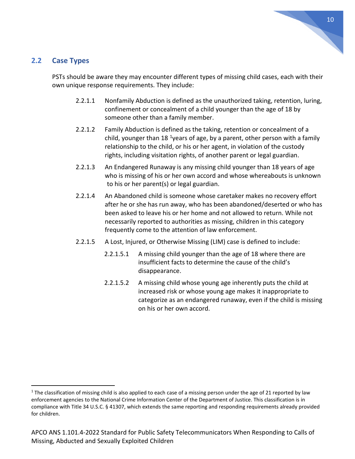#### <span id="page-9-0"></span>**2.2 Case Types**

PSTs should be aware they may encounter different types of missing child cases, each with their own unique response requirements. They include:

- 2.2.1.1 Nonfamily Abduction is defined as the unauthorized taking, retention, luring, confinement or concealment of a child younger than the age of 18 by someone other than a family member.
- 2.2.1.2 Family Abduction is defined as the taking, retention or concealment of a child, younger than [1](#page-9-1)8 <sup>1</sup>years of age, by a parent, other person with a family relationship to the child, or his or her agent, in violation of the custody rights, including visitation rights, of another parent or legal guardian.
- 2.2.1.3 An Endangered Runaway is any missing child younger than 18 years of age who is missing of his or her own accord and whose whereabouts is unknown to his or her parent(s) or legal guardian.
- 2.2.1.4 An Abandoned child is someone whose caretaker makes no recovery effort after he or she has run away, who has been abandoned/deserted or who has been asked to leave his or her home and not allowed to return. While not necessarily reported to authorities as missing, children in this category frequently come to the attention of law enforcement.
- 2.2.1.5 A Lost, Injured, or Otherwise Missing (LIM) case is defined to include:
	- 2.2.1.5.1 A missing child younger than the age of 18 where there are insufficient facts to determine the cause of the child's disappearance.
	- 2.2.1.5.2 A missing child whose young age inherently puts the child at increased risk or whose young age makes it inappropriate to categorize as an endangered runaway, even if the child is missing on his or her own accord.

<span id="page-9-1"></span> $1$  The classification of missing child is also applied to each case of a missing person under the age of 21 reported by law enforcement agencies to the National Crime Information Center of the Department of Justice. This classification is in compliance with Title 34 U.S.C. § 41307, which extends the same reporting and responding requirements already provided for children.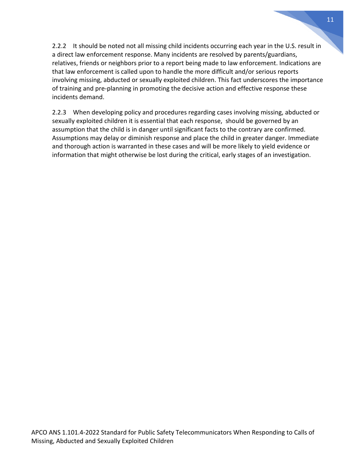2.2.2 It should be noted not all missing child incidents occurring each year in the U.S. result in a direct law enforcement response. Many incidents are resolved by parents/guardians, relatives, friends or neighbors prior to a report being made to law enforcement. Indications are that law enforcement is called upon to handle the more difficult and/or serious reports involving missing, abducted or sexually exploited children. This fact underscores the importance of training and pre-planning in promoting the decisive action and effective response these incidents demand.

2.2.3 When developing policy and procedures regarding cases involving missing, abducted or sexually exploited children it is essential that each response, should be governed by an assumption that the child is in danger until significant facts to the contrary are confirmed. Assumptions may delay or diminish response and place the child in greater danger. Immediate and thorough action is warranted in these cases and will be more likely to yield evidence or information that might otherwise be lost during the critical, early stages of an investigation.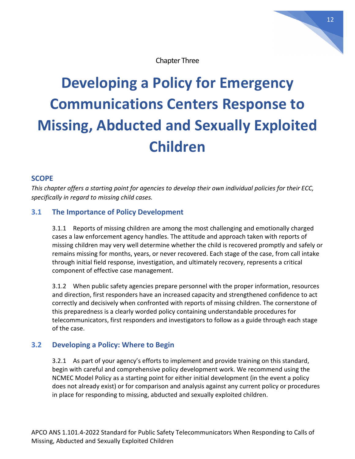Chapter Three

# <span id="page-11-0"></span>**Developing a Policy for Emergency Communications Centers Response to Missing, Abducted and Sexually Exploited Children**

#### **SCOPE**

*This chapter offers a starting point for agencies to develop their own individual policies for their ECC, specifically in regard to missing child cases.* 

#### **3.1 The Importance of Policy Development**

<span id="page-11-1"></span>3.1.1 Reports of missing children are among the most challenging and emotionally charged cases a law enforcement agency handles. The attitude and approach taken with reports of missing children may very well determine whether the child is recovered promptly and safely or remains missing for months, years, or never recovered. Each stage of the case, from call intake through initial field response, investigation, and ultimately recovery, represents a critical component of effective case management.

3.1.2 When public safety agencies prepare personnel with the proper information, resources and direction, first responders have an increased capacity and strengthened confidence to act correctly and decisively when confronted with reports of missing children. The cornerstone of this preparedness is a clearly worded policy containing understandable procedures for telecommunicators, first responders and investigators to follow as a guide through each stage of the case.

#### <span id="page-11-2"></span>**3.2 Developing a Policy: Where to Begin**

3.2.1 As part of your agency's efforts to implement and provide training on this standard, begin with careful and comprehensive policy development work. We recommend using the NCMEC Model Policy as a starting point for either initial development (in the event a policy does not already exist) or for comparison and analysis against any current policy or procedures in place for responding to missing, abducted and sexually exploited children.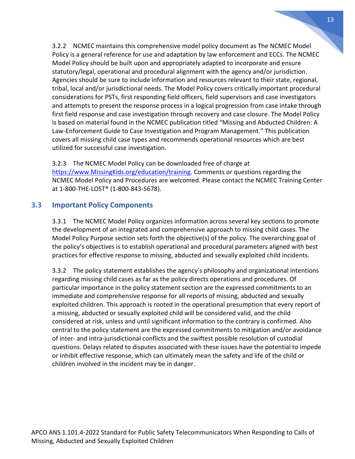3.2.2 NCMEC maintains this comprehensive model policy document as The NCMEC Model Policy is a general reference for use and adaptation by law enforcement and ECCs. The NCMEC Model Policy should be built upon and appropriately adapted to incorporate and ensure statutory/legal, operational and procedural alignment with the agency and/or jurisdiction. Agencies should be sure to include information and resources relevant to their state, regional, tribal, local and/or jurisdictional needs. The Model Policy covers critically important procedural considerations for PSTs, first responding field officers, field supervisors and case investigators and attempts to present the response process in a logical progression from case intake through first field response and case investigation through recovery and case closure. The Model Policy is based on material found in the NCMEC publication titled "Missing and Abducted Children: A Law-Enforcement Guide to Case Investigation and Program Management." This publication covers all missing child case types and recommends operational resources which are best utilized for successful case investigation.

3.2.3 The NCMEC Model Policy can be downloaded free of charge at [https://www.MissingKids.org/education/training.](https://www.missingkids.org/education/training) Comments or questions regarding the NCMEC Model Policy and Procedures are welcomed. Please contact the NCMEC Training Center at 1-800-THE-LOST® (1-800-843-5678).

#### <span id="page-12-0"></span>**3.3 Important Policy Components**

3.3.1 The NCMEC Model Policy organizes information across several key sections to promote the development of an integrated and comprehensive approach to missing child cases. The Model Policy Purpose section sets forth the objective(s) of the policy. The overarching goal of the policy's objectives is to establish operational and procedural parameters aligned with best practices for effective response to missing, abducted and sexually exploited child incidents.

3.3.2 The policy statement establishes the agency's philosophy and organizational intentions regarding missing child cases as far as the policy directs operations and procedures. Of particular importance in the policy statement section are the expressed commitments to an immediate and comprehensive response for all reports of missing, abducted and sexually exploited children. This approach is rooted in the operational presumption that every report of a missing, abducted or sexually exploited child will be considered valid, and the child considered at risk, unless and until significant information to the contrary is confirmed. Also central to the policy statement are the expressed commitments to mitigation and/or avoidance of inter- and intra-jurisdictional conflicts and the swiftest possible resolution of custodial questions. Delays related to disputes associated with these issues have the potential to impede or inhibit effective response, which can ultimately mean the safety and life of the child or children involved in the incident may be in danger.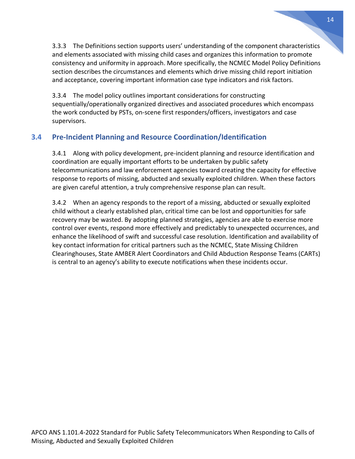3.3.3 The Definitions section supports users' understanding of the component characteristics and elements associated with missing child cases and organizes this information to promote consistency and uniformity in approach. More specifically, the NCMEC Model Policy Definitions section describes the circumstances and elements which drive missing child report initiation and acceptance, covering important information case type indicators and risk factors.

3.3.4 The model policy outlines important considerations for constructing sequentially/operationally organized directives and associated procedures which encompass the work conducted by PSTs, on-scene first responders/officers, investigators and case supervisors.

#### <span id="page-13-0"></span>**3.4 Pre-Incident Planning and Resource Coordination/Identification**

3.4.1 Along with policy development, pre-incident planning and resource identification and coordination are equally important efforts to be undertaken by public safety telecommunications and law enforcement agencies toward creating the capacity for effective response to reports of missing, abducted and sexually exploited children. When these factors are given careful attention, a truly comprehensive response plan can result.

3.4.2 When an agency responds to the report of a missing, abducted or sexually exploited child without a clearly established plan, critical time can be lost and opportunities for safe recovery may be wasted. By adopting planned strategies, agencies are able to exercise more control over events, respond more effectively and predictably to unexpected occurrences, and enhance the likelihood of swift and successful case resolution. Identification and availability of key contact information for critical partners such as the NCMEC, State Missing Children Clearinghouses, State AMBER Alert Coordinators and Child Abduction Response Teams (CARTs) is central to an agency's ability to execute notifications when these incidents occur.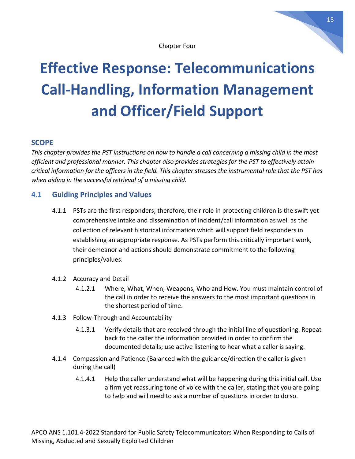# <span id="page-14-0"></span>**Effective Response: Telecommunications Call-Handling, Information Management and Officer/Field Support**

#### **SCOPE**

*This chapter provides the PST instructions on how to handle a call concerning a missing child in the most efficient and professional manner. This chapter also provides strategies for the PST to effectively attain critical information for the officers in the field. This chapter stresses the instrumental role that the PST has when aiding in the successful retrieval of a missing child.*

#### **4.1 Guiding Principles and Values**

- <span id="page-14-1"></span>4.1.1 PSTs are the first responders; therefore, their role in protecting children is the swift yet comprehensive intake and dissemination of incident/call information as well as the collection of relevant historical information which will support field responders in establishing an appropriate response. As PSTs perform this critically important work, their demeanor and actions should demonstrate commitment to the following principles/values.
- 4.1.2 Accuracy and Detail
	- 4.1.2.1 Where, What, When, Weapons, Who and How. You must maintain control of the call in order to receive the answers to the most important questions in the shortest period of time.
- 4.1.3 Follow-Through and Accountability
	- 4.1.3.1 Verify details that are received through the initial line of questioning. Repeat back to the caller the information provided in order to confirm the documented details; use active listening to hear what a caller is saying.
- 4.1.4 Compassion and Patience (Balanced with the guidance/direction the caller is given during the call)
	- 4.1.4.1 Help the caller understand what will be happening during this initial call. Use a firm yet reassuring tone of voice with the caller, stating that you are going to help and will need to ask a number of questions in order to do so.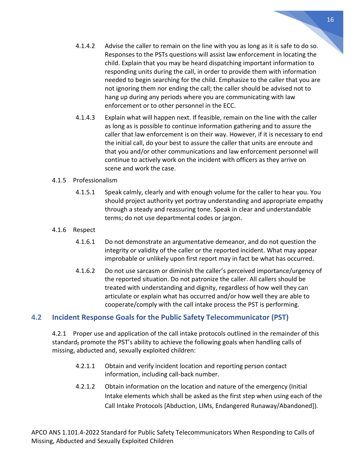- 4.1.4.2 Advise the caller to remain on the line with you as long as it is safe to do so. Responses to the PSTs questions will assist law enforcement in locating the child. Explain that you may be heard dispatching important information to responding units during the call, in order to provide them with information needed to begin searching for the child. Emphasize to the caller that you are not ignoring them nor ending the call; the caller should be advised not to hang up during any periods where you are communicating with law enforcement or to other personnel in the ECC.
- 4.1.4.3 Explain what will happen next. If feasible, remain on the line with the caller as long as is possible to continue information gathering and to assure the caller that law enforcement is on their way. However, if it is necessary to end the initial call, do your best to assure the caller that units are enroute and that you and/or other communications and law enforcement personnel will continue to actively work on the incident with officers as they arrive on scene and work the case.

#### 4.1.5 Professionalism

- 4.1.5.1 Speak calmly, clearly and with enough volume for the caller to hear you. You should project authority yet portray understanding and appropriate empathy through a steady and reassuring tone. Speak in clear and understandable terms; do not use departmental codes or jargon.
- 4.1.6 Respect
	- 4.1.6.1 Do not demonstrate an argumentative demeanor, and do not question the integrity or validity of the caller or the reported incident. What may appear improbable or unlikely upon first report may in fact be what has occurred.
	- 4.1.6.2 Do not use sarcasm or diminish the caller's perceived importance/urgency of the reported situation. Do not patronize the caller. All callers should be treated with understanding and dignity, regardless of how well they can articulate or explain what has occurred and/or how well they are able to cooperate/comply with the call intake process the PST is performing.

#### <span id="page-15-0"></span>**4.2 Incident Response Goals for the Public Safety Telecommunicator (PST)**

4.2.1 Proper use and application of the call intake protocols outlined in the remainder of this standard, promote the PST's ability to achieve the following goals when handling calls of missing, abducted and, sexually exploited children:

- 4.2.1.1 Obtain and verify incident location and reporting person contact information, including call-back number.
- 4.2.1.2 Obtain information on the location and nature of the emergency (Initial Intake elements which shall be asked as the first step when using each of the Call Intake Protocols [Abduction, LIMs, Endangered Runaway/Abandoned]).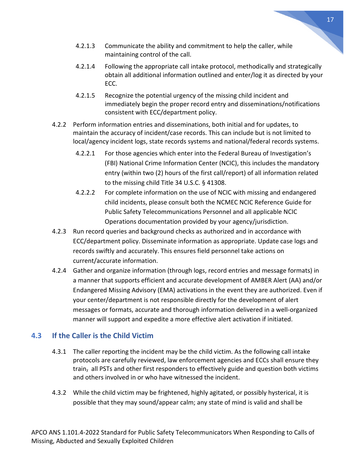- 4.2.1.3 Communicate the ability and commitment to help the caller, while maintaining control of the call.
- 4.2.1.4 Following the appropriate call intake protocol, methodically and strategically obtain all additional information outlined and enter/log it as directed by your ECC.
- 4.2.1.5 Recognize the potential urgency of the missing child incident and immediately begin the proper record entry and disseminations/notifications consistent with ECC/department policy.
- 4.2.2 Perform information entries and disseminations, both initial and for updates, to maintain the accuracy of incident/case records. This can include but is not limited to local/agency incident logs, state records systems and national/federal records systems.
	- 4.2.2.1 For those agencies which enter into the Federal Bureau of Investigation's (FBI) National Crime Information Center (NCIC), this includes the mandatory entry (within two (2) hours of the first call/report) of all information related to the missing child Title 34 U.S.C. § 41308.
	- 4.2.2.2 For complete information on the use of NCIC with missing and endangered child incidents, please consult both the NCMEC NCIC Reference Guide for Public Safety Telecommunications Personnel and all applicable NCIC Operations documentation provided by your agency/jurisdiction.
- 4.2.3 Run record queries and background checks as authorized and in accordance with ECC/department policy. Disseminate information as appropriate. Update case logs and records swiftly and accurately. This ensures field personnel take actions on current/accurate information.
- 4.2.4 Gather and organize information (through logs, record entries and message formats) in a manner that supports efficient and accurate development of AMBER Alert (AA) and/or Endangered Missing Advisory (EMA) activations in the event they are authorized. Even if your center/department is not responsible directly for the development of alert messages or formats, accurate and thorough information delivered in a well-organized manner will support and expedite a more effective alert activation if initiated.

#### <span id="page-16-0"></span>**4.3 If the Caller is the Child Victim**

- 4.3.1 The caller reporting the incident may be the child victim. As the following call intake protocols are carefully reviewed, law enforcement agencies and ECCs shall ensure they train, all PSTs and other first responders to effectively guide and question both victims and others involved in or who have witnessed the incident.
- 4.3.2 While the child victim may be frightened, highly agitated, or possibly hysterical, it is possible that they may sound/appear calm; any state of mind is valid and shall be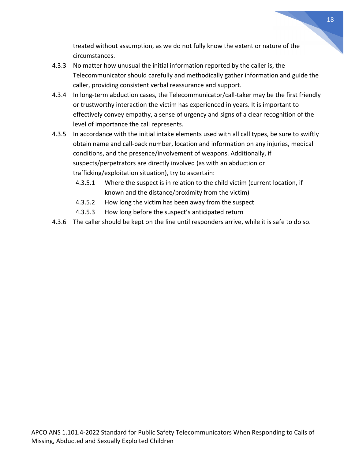treated without assumption, as we do not fully know the extent or nature of the circumstances.

- 4.3.3 No matter how unusual the initial information reported by the caller is, the Telecommunicator should carefully and methodically gather information and guide the caller, providing consistent verbal reassurance and support.
- 4.3.4 In long-term abduction cases, the Telecommunicator/call-taker may be the first friendly or trustworthy interaction the victim has experienced in years. It is important to effectively convey empathy, a sense of urgency and signs of a clear recognition of the level of importance the call represents.
- 4.3.5 In accordance with the initial intake elements used with all call types, be sure to swiftly obtain name and call-back number, location and information on any injuries, medical conditions, and the presence/involvement of weapons. Additionally, if suspects/perpetrators are directly involved (as with an abduction or trafficking/exploitation situation), try to ascertain:
	- 4.3.5.1 Where the suspect is in relation to the child victim (current location, if known and the distance/proximity from the victim)
	- 4.3.5.2 How long the victim has been away from the suspect
	- 4.3.5.3 How long before the suspect's anticipated return
- 4.3.6 The caller should be kept on the line until responders arrive, while it is safe to do so.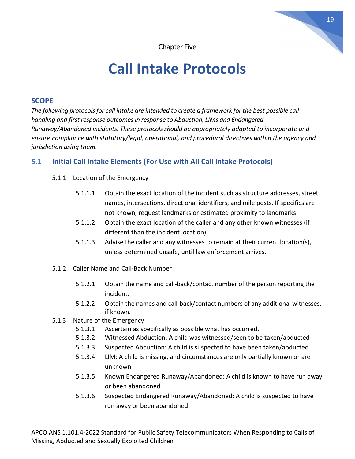# **Call Intake Protocols**

#### <span id="page-18-0"></span>**SCOPE**

*The following protocolsfor call intake are intended to create a framework for the best possible call handling and first response outcomesin response to Abduction, LIMs and Endangered Runaway/Abandoned incidents. These protocols should be appropriately adapted to incorporate and ensure compliance with statutory/legal, operational, and procedural directives within the agency and jurisdiction using them.*

#### **5.1 Initial Call Intake Elements (For Use with All Call Intake Protocols)**

- <span id="page-18-1"></span>5.1.1 Location of the Emergency
	- 5.1.1.1 Obtain the exact location of the incident such as structure addresses, street names, intersections, directional identifiers, and mile posts. If specifics are not known, request landmarks or estimated proximity to landmarks.
	- 5.1.1.2 Obtain the exact location of the caller and any other known witnesses (if different than the incident location).
	- 5.1.1.3 Advise the caller and any witnesses to remain at their current location(s), unless determined unsafe, until law enforcement arrives.
- 5.1.2 Caller Name and Call-Back Number
	- 5.1.2.1 Obtain the name and call-back/contact number of the person reporting the incident.
	- 5.1.2.2 Obtain the names and call-back/contact numbers of any additional witnesses, if known.
- 5.1.3 Nature of the Emergency
	- 5.1.3.1 Ascertain as specifically as possible what has occurred.
	- 5.1.3.2 Witnessed Abduction: A child was witnessed/seen to be taken/abducted
	- 5.1.3.3 Suspected Abduction: A child is suspected to have been taken/abducted
	- 5.1.3.4 LIM: A child is missing, and circumstances are only partially known or are unknown
	- 5.1.3.5 Known Endangered Runaway/Abandoned: A child is known to have run away or been abandoned
	- 5.1.3.6 Suspected Endangered Runaway/Abandoned: A child is suspected to have run away or been abandoned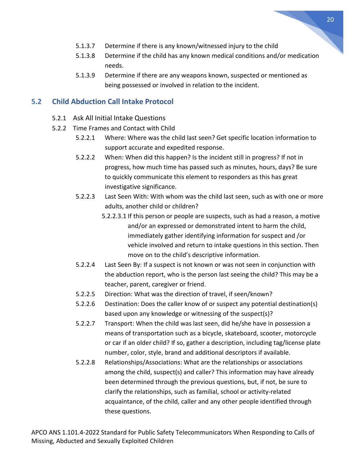- 5.1.3.7 Determine if there is any known/witnessed injury to the child
- 5.1.3.8 Determine if the child has any known medical conditions and/or medication needs.
- 5.1.3.9 Determine if there are any weapons known, suspected or mentioned as being possessed or involved in relation to the incident.

#### <span id="page-19-0"></span>**5.2 Child Abduction Call Intake Protocol**

- 5.2.1 Ask All Initial Intake Questions
- 5.2.2 Time Frames and Contact with Child
	- 5.2.2.1 Where: Where was the child last seen? Get specific location information to support accurate and expedited response.
	- 5.2.2.2 When: When did this happen? Is the incident still in progress? If not in progress, how much time has passed such as minutes, hours, days? Be sure to quickly communicate this element to responders as this has great investigative significance.
	- 5.2.2.3 Last Seen With: With whom was the child last seen, such as with one or more adults, another child or children?
		- 5.2.2.3.1 If this person or people are suspects, such as had a reason, a motive and/or an expressed or demonstrated intent to harm the child, immediately gather identifying information for suspect and /or vehicle involved and return to intake questions in this section. Then move on to the child's descriptive information.
	- 5.2.2.4 Last Seen By: If a suspect is not known or was not seen in conjunction with the abduction report, who is the person last seeing the child? This may be a teacher, parent, caregiver or friend.
	- 5.2.2.5 Direction: What was the direction of travel, if seen/known?
	- 5.2.2.6 Destination: Does the caller know of or suspect any potential destination(s) based upon any knowledge or witnessing of the suspect(s)?
	- 5.2.2.7 Transport: When the child was last seen, did he/she have in possession a means of transportation such as a bicycle, skateboard, scooter, motorcycle or car if an older child? If so, gather a description, including tag/license plate number, color, style, brand and additional descriptors if available.
	- 5.2.2.8 Relationships/Associations: What are the relationships or associations among the child, suspect(s) and caller? This information may have already been determined through the previous questions, but, if not, be sure to clarify the relationships, such as familial, school or activity-related acquaintance, of the child, caller and any other people identified through these questions.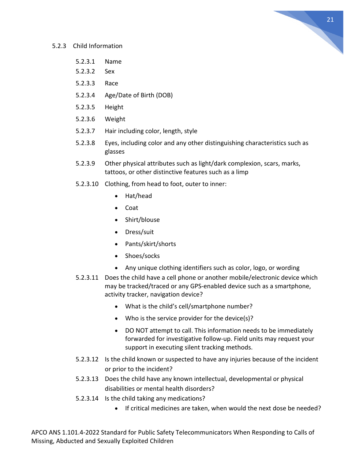

#### 5.2.3 Child Information

- 5.2.3.1 Name
- 5.2.3.2 Sex
- 5.2.3.3 Race
- 5.2.3.4 Age/Date of Birth (DOB)
- 5.2.3.5 Height
- 5.2.3.6 Weight
- 5.2.3.7 Hair including color, length, style
- 5.2.3.8 Eyes, including color and any other distinguishing characteristics such as glasses
- 5.2.3.9 Other physical attributes such as light/dark complexion, scars, marks, tattoos, or other distinctive features such as a limp
- 5.2.3.10 Clothing, from head to foot, outer to inner:
	- Hat/head
	- Coat
	- Shirt/blouse
	- Dress/suit
	- Pants/skirt/shorts
	- Shoes/socks
	- Any unique clothing identifiers such as color, logo, or wording
- 5.2.3.11 Does the child have a cell phone or another mobile/electronic device which may be tracked/traced or any GPS-enabled device such as a smartphone, activity tracker, navigation device?
	- What is the child's cell/smartphone number?
	- Who is the service provider for the device(s)?
	- DO NOT attempt to call. This information needs to be immediately forwarded for investigative follow-up. Field units may request your support in executing silent tracking methods.
- 5.2.3.12 Is the child known or suspected to have any injuries because of the incident or prior to the incident?
- 5.2.3.13 Does the child have any known intellectual, developmental or physical disabilities or mental health disorders?
- 5.2.3.14 Is the child taking any medications?
	- If critical medicines are taken, when would the next dose be needed?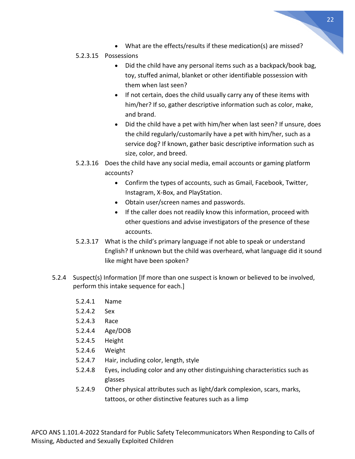• What are the effects/results if these medication(s) are missed?

#### 5.2.3.15 Possessions

- Did the child have any personal items such as a backpack/book bag, toy, stuffed animal, blanket or other identifiable possession with them when last seen?
- If not certain, does the child usually carry any of these items with him/her? If so, gather descriptive information such as color, make, and brand.
- Did the child have a pet with him/her when last seen? If unsure, does the child regularly/customarily have a pet with him/her, such as a service dog? If known, gather basic descriptive information such as size, color, and breed.
- 5.2.3.16 Does the child have any social media, email accounts or gaming platform accounts?
	- Confirm the types of accounts, such as Gmail, Facebook, Twitter, Instagram, X-Box, and PlayStation.
	- Obtain user/screen names and passwords.
	- If the caller does not readily know this information, proceed with other questions and advise investigators of the presence of these accounts.
- 5.2.3.17 What is the child's primary language if not able to speak or understand English? If unknown but the child was overheard, what language did it sound like might have been spoken?
- 5.2.4 Suspect(s) Information [If more than one suspect is known or believed to be involved, perform this intake sequence for each.]
	- 5.2.4.1 Name
	- 5.2.4.2 Sex
	- 5.2.4.3 Race
	- 5.2.4.4 Age/DOB
	- 5.2.4.5 Height
	- 5.2.4.6 Weight
	- 5.2.4.7 Hair, including color, length, style
	- 5.2.4.8 Eyes, including color and any other distinguishing characteristics such as glasses
	- 5.2.4.9 Other physical attributes such as light/dark complexion, scars, marks, tattoos, or other distinctive features such as a limp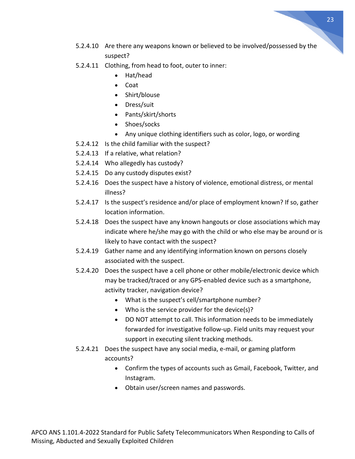- 23
- 5.2.4.10 Are there any weapons known or believed to be involved/possessed by the suspect?
- 5.2.4.11 Clothing, from head to foot, outer to inner:
	- Hat/head
	- Coat
	- Shirt/blouse
	- Dress/suit
	- Pants/skirt/shorts
	- Shoes/socks
	- Any unique clothing identifiers such as color, logo, or wording
- 5.2.4.12 Is the child familiar with the suspect?
- 5.2.4.13 If a relative, what relation?
- 5.2.4.14 Who allegedly has custody?
- 5.2.4.15 Do any custody disputes exist?
- 5.2.4.16 Does the suspect have a history of violence, emotional distress, or mental illness?
- 5.2.4.17 Is the suspect's residence and/or place of employment known? If so, gather location information.
- 5.2.4.18 Does the suspect have any known hangouts or close associations which may indicate where he/she may go with the child or who else may be around or is likely to have contact with the suspect?
- 5.2.4.19 Gather name and any identifying information known on persons closely associated with the suspect.
- 5.2.4.20 Does the suspect have a cell phone or other mobile/electronic device which may be tracked/traced or any GPS-enabled device such as a smartphone, activity tracker, navigation device?
	- What is the suspect's cell/smartphone number?
	- Who is the service provider for the device(s)?
	- DO NOT attempt to call. This information needs to be immediately forwarded for investigative follow-up. Field units may request your support in executing silent tracking methods.
- 5.2.4.21 Does the suspect have any social media, e-mail, or gaming platform accounts?
	- Confirm the types of accounts such as Gmail, Facebook, Twitter, and Instagram.
	- Obtain user/screen names and passwords.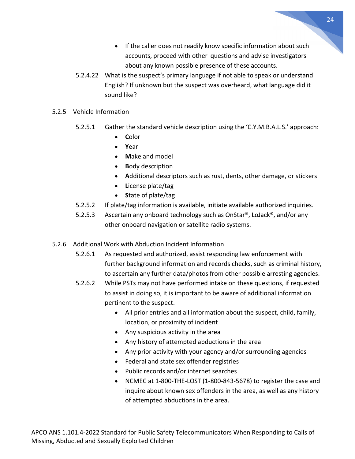- If the caller does not readily know specific information about such accounts, proceed with other questions and advise investigators about any known possible presence of these accounts.
- 5.2.4.22 What is the suspect's primary language if not able to speak or understand English? If unknown but the suspect was overheard, what language did it sound like?
- 5.2.5 Vehicle Information
	- 5.2.5.1 Gather the standard vehicle description using the 'C.Y.M.B.A.L.S.' approach:
		- **C**olor
		- **Y**ear
		- **M**ake and model
		- **B**ody description
		- **A**dditional descriptors such as rust, dents, other damage, or stickers
		- **L**icense plate/tag
		- **S**tate of plate/tag
	- 5.2.5.2 If plate/tag information is available, initiate available authorized inquiries.
	- 5.2.5.3 Ascertain any onboard technology such as OnStar®, LoJack®, and/or any other onboard navigation or satellite radio systems.
- 5.2.6 Additional Work with Abduction Incident Information
	- 5.2.6.1 As requested and authorized, assist responding law enforcement with further background information and records checks, such as criminal history, to ascertain any further data/photos from other possible arresting agencies.
	- 5.2.6.2 While PSTs may not have performed intake on these questions, if requested to assist in doing so, it is important to be aware of additional information pertinent to the suspect.
		- All prior entries and all information about the suspect, child, family, location, or proximity of incident
		- Any suspicious activity in the area
		- Any history of attempted abductions in the area
		- Any prior activity with your agency and/or surrounding agencies
		- Federal and state sex offender registries
		- Public records and/or internet searches
		- NCMEC at 1-800-THE-LOST (1-800-843-5678) to register the case and inquire about known sex offenders in the area, as well as any history of attempted abductions in the area.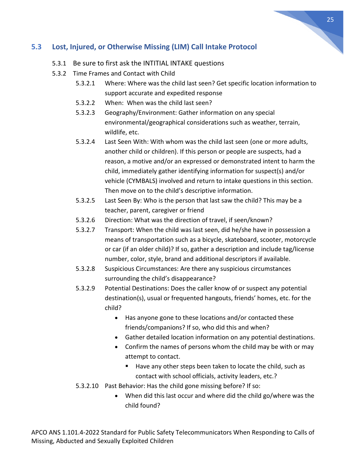#### <span id="page-24-0"></span>**5.3 Lost, Injured, or Otherwise Missing (LIM) Call Intake Protocol**

- 5.3.1 Be sure to first ask the INTITIAL INTAKE questions
- 5.3.2 Time Frames and Contact with Child
	- 5.3.2.1 Where: Where was the child last seen? Get specific location information to support accurate and expedited response
	- 5.3.2.2 When: When was the child last seen?
	- 5.3.2.3 Geography/Environment: Gather information on any special environmental/geographical considerations such as weather, terrain, wildlife, etc.
	- 5.3.2.4 Last Seen With: With whom was the child last seen (one or more adults, another child or children). If this person or people are suspects, had a reason, a motive and/or an expressed or demonstrated intent to harm the child, immediately gather identifying information for suspect(s) and/or vehicle (CYMBALS) involved and return to intake questions in this section. Then move on to the child's descriptive information.
	- 5.3.2.5 Last Seen By: Who is the person that last saw the child? This may be a teacher, parent, caregiver or friend
	- 5.3.2.6 Direction: What was the direction of travel, if seen/known?
	- 5.3.2.7 Transport: When the child was last seen, did he/she have in possession a means of transportation such as a bicycle, skateboard, scooter, motorcycle or car (if an older child)? If so, gather a description and include tag/license number, color, style, brand and additional descriptors if available.
	- 5.3.2.8 Suspicious Circumstances: Are there any suspicious circumstances surrounding the child's disappearance?
	- 5.3.2.9 Potential Destinations: Does the caller know of or suspect any potential destination(s), usual or frequented hangouts, friends' homes, etc. for the child?
		- Has anyone gone to these locations and/or contacted these friends/companions? If so, who did this and when?
		- Gather detailed location information on any potential destinations.
		- Confirm the names of persons whom the child may be with or may attempt to contact.
			- Have any other steps been taken to locate the child, such as contact with school officials, activity leaders, etc.?
	- 5.3.2.10 Past Behavior: Has the child gone missing before? If so:
		- When did this last occur and where did the child go/where was the child found?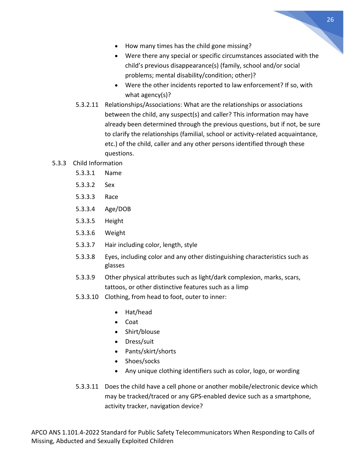- How many times has the child gone missing?
- Were there any special or specific circumstances associated with the child's previous disappearance(s) (family, school and/or social problems; mental disability/condition; other)?
- Were the other incidents reported to law enforcement? If so, with what agency(s)?
- 5.3.2.11 Relationships/Associations: What are the relationships or associations between the child, any suspect(s) and caller? This information may have already been determined through the previous questions, but if not, be sure to clarify the relationships (familial, school or activity-related acquaintance, etc.) of the child, caller and any other persons identified through these questions.

#### 5.3.3 Child Information

- 5.3.3.1 Name
- 5.3.3.2 Sex
- 5.3.3.3 Race
- 5.3.3.4 Age/DOB
- 5.3.3.5 Height
- 5.3.3.6 Weight
- 5.3.3.7 Hair including color, length, style
- 5.3.3.8 Eyes, including color and any other distinguishing characteristics such as glasses
- 5.3.3.9 Other physical attributes such as light/dark complexion, marks, scars, tattoos, or other distinctive features such as a limp
- 5.3.3.10 Clothing, from head to foot, outer to inner:
	- Hat/head
	- Coat
	- Shirt/blouse
	- Dress/suit
	- Pants/skirt/shorts
	- Shoes/socks
	- Any unique clothing identifiers such as color, logo, or wording
- 5.3.3.11 Does the child have a cell phone or another mobile/electronic device which may be tracked/traced or any GPS-enabled device such as a smartphone, activity tracker, navigation device?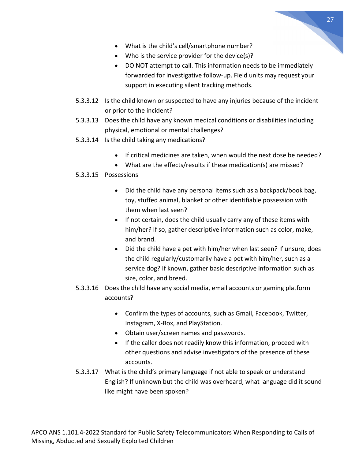- 
- What is the child's cell/smartphone number?
- Who is the service provider for the device(s)?
- DO NOT attempt to call. This information needs to be immediately forwarded for investigative follow-up. Field units may request your support in executing silent tracking methods.
- 5.3.3.12 Is the child known or suspected to have any injuries because of the incident or prior to the incident?
- 5.3.3.13 Does the child have any known medical conditions or disabilities including physical, emotional or mental challenges?
- 5.3.3.14 Is the child taking any medications?
	- If critical medicines are taken, when would the next dose be needed?
	- What are the effects/results if these medication(s) are missed?

#### 5.3.3.15 Possessions

- Did the child have any personal items such as a backpack/book bag, toy, stuffed animal, blanket or other identifiable possession with them when last seen?
- If not certain, does the child usually carry any of these items with him/her? If so, gather descriptive information such as color, make, and brand.
- Did the child have a pet with him/her when last seen? If unsure, does the child regularly/customarily have a pet with him/her, such as a service dog? If known, gather basic descriptive information such as size, color, and breed.
- 5.3.3.16 Does the child have any social media, email accounts or gaming platform accounts?
	- Confirm the types of accounts, such as Gmail, Facebook, Twitter, Instagram, X-Box, and PlayStation.
	- Obtain user/screen names and passwords.
	- If the caller does not readily know this information, proceed with other questions and advise investigators of the presence of these accounts.
- 5.3.3.17 What is the child's primary language if not able to speak or understand English? If unknown but the child was overheard, what language did it sound like might have been spoken?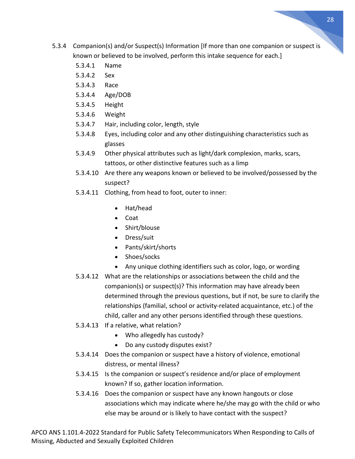- 5.3.4 Companion(s) and/or Suspect(s) Information [If more than one companion or suspect is known or believed to be involved, perform this intake sequence for each.]
	- 5.3.4.1 Name
	- 5.3.4.2 Sex
	- 5.3.4.3 Race
	- 5.3.4.4 Age/DOB
	- 5.3.4.5 Height
	- 5.3.4.6 Weight
	- 5.3.4.7 Hair, including color, length, style
	- 5.3.4.8 Eyes, including color and any other distinguishing characteristics such as glasses
	- 5.3.4.9 Other physical attributes such as light/dark complexion, marks, scars, tattoos, or other distinctive features such as a limp
	- 5.3.4.10 Are there any weapons known or believed to be involved/possessed by the suspect?
	- 5.3.4.11 Clothing, from head to foot, outer to inner:
		- Hat/head
		- Coat
		- Shirt/blouse
		- Dress/suit
		- Pants/skirt/shorts
		- Shoes/socks
		- Any unique clothing identifiers such as color, logo, or wording
	- 5.3.4.12 What are the relationships or associations between the child and the companion(s) or suspect(s)? This information may have already been determined through the previous questions, but if not, be sure to clarify the relationships (familial, school or activity-related acquaintance, etc.) of the child, caller and any other persons identified through these questions.
	- 5.3.4.13 If a relative, what relation?
		- Who allegedly has custody?
		- Do any custody disputes exist?
	- 5.3.4.14 Does the companion or suspect have a history of violence, emotional distress, or mental illness?
	- 5.3.4.15 Is the companion or suspect's residence and/or place of employment known? If so, gather location information.
	- 5.3.4.16 Does the companion or suspect have any known hangouts or close associations which may indicate where he/she may go with the child or who else may be around or is likely to have contact with the suspect?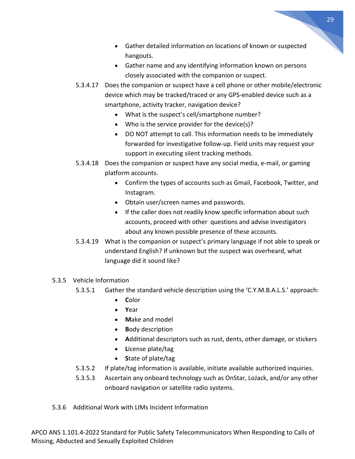- Gather detailed information on locations of known or suspected hangouts.
- Gather name and any identifying information known on persons closely associated with the companion or suspect.
- 5.3.4.17 Does the companion or suspect have a cell phone or other mobile/electronic device which may be tracked/traced or any GPS-enabled device such as a smartphone, activity tracker, navigation device?
	- What is the suspect's cell/smartphone number?
	- Who is the service provider for the device(s)?
	- DO NOT attempt to call. This information needs to be immediately forwarded for investigative follow-up. Field units may request your support in executing silent tracking methods.
- 5.3.4.18 Does the companion or suspect have any social media, e-mail, or gaming platform accounts.
	- Confirm the types of accounts such as Gmail, Facebook, Twitter, and Instagram.
	- Obtain user/screen names and passwords.
	- If the caller does not readily know specific information about such accounts, proceed with other questions and advise investigators about any known possible presence of these accounts.
- 5.3.4.19 What is the companion or suspect's primary language if not able to speak or understand English? If unknown but the suspect was overheard, what language did it sound like?

#### 5.3.5 Vehicle Information

- 5.3.5.1 Gather the standard vehicle description using the 'C.Y.M.B.A.L.S.' approach:
	- **C**olor
	- **Y**ear
	- **M**ake and model
	- **B**ody description
	- **A**dditional descriptors such as rust, dents, other damage, or stickers
	- **L**icense plate/tag
	- **S**tate of plate/tag
- 5.3.5.2 If plate/tag information is available, initiate available authorized inquiries.
- 5.3.5.3 Ascertain any onboard technology such as OnStar, LoJack, and/or any other onboard navigation or satellite radio systems.
- 5.3.6 Additional Work with LIMs Incident Information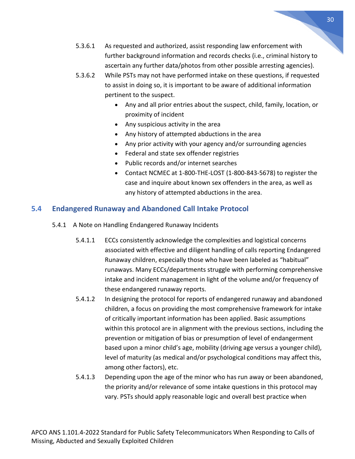- 5.3.6.1 As requested and authorized, assist responding law enforcement with further background information and records checks (i.e., criminal history to ascertain any further data/photos from other possible arresting agencies).
- 5.3.6.2 While PSTs may not have performed intake on these questions, if requested to assist in doing so, it is important to be aware of additional information pertinent to the suspect.
	- Any and all prior entries about the suspect, child, family, location, or proximity of incident
	- Any suspicious activity in the area
	- Any history of attempted abductions in the area
	- Any prior activity with your agency and/or surrounding agencies
	- Federal and state sex offender registries
	- Public records and/or internet searches
	- Contact NCMEC at 1-800-THE-LOST (1-800-843-5678) to register the case and inquire about known sex offenders in the area, as well as any history of attempted abductions in the area.

#### <span id="page-29-0"></span>**5.4 Endangered Runaway and Abandoned Call Intake Protocol**

- 5.4.1 A Note on Handling Endangered Runaway Incidents
	- 5.4.1.1 ECCs consistently acknowledge the complexities and logistical concerns associated with effective and diligent handling of calls reporting Endangered Runaway children, especially those who have been labeled as "habitual" runaways. Many ECCs/departments struggle with performing comprehensive intake and incident management in light of the volume and/or frequency of these endangered runaway reports.
	- 5.4.1.2 In designing the protocol for reports of endangered runaway and abandoned children, a focus on providing the most comprehensive framework for intake of critically important information has been applied. Basic assumptions within this protocol are in alignment with the previous sections, including the prevention or mitigation of bias or presumption of level of endangerment based upon a minor child's age, mobility (driving age versus a younger child), level of maturity (as medical and/or psychological conditions may affect this, among other factors), etc.
	- 5.4.1.3 Depending upon the age of the minor who has run away or been abandoned, the priority and/or relevance of some intake questions in this protocol may vary. PSTs should apply reasonable logic and overall best practice when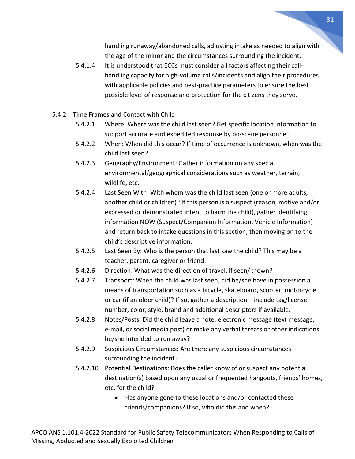handling runaway/abandoned calls, adjusting intake as needed to align with the age of the minor and the circumstances surrounding the incident.

- 5.4.1.4 It is understood that ECCs must consider all factors affecting their callhandling capacity for high-volume calls/incidents and align their procedures with applicable policies and best-practice parameters to ensure the best possible level of response and protection for the citizens they serve.
- 5.4.2 Time Frames and Contact with Child
	- 5.4.2.1 Where: Where was the child last seen? Get specific location information to support accurate and expedited response by on-scene personnel.
	- 5.4.2.2 When: When did this occur? If time of occurrence is unknown, when was the child last seen?
	- 5.4.2.3 Geography/Environment: Gather information on any special environmental/geographical considerations such as weather, terrain, wildlife, etc.
	- 5.4.2.4 Last Seen With: With whom was the child last seen (one or more adults, another child or children)? If this person is a suspect (reason, motive and/or expressed or demonstrated intent to harm the child), gather identifying information NOW (Suspect/Companion Information, Vehicle Information) and return back to intake questions in this section, then moving on to the child's descriptive information.
	- 5.4.2.5 Last Seen By: Who is the person that last saw the child? This may be a teacher, parent, caregiver or friend.
	- 5.4.2.6 Direction: What was the direction of travel, if seen/known?
	- 5.4.2.7 Transport: When the child was last seen, did he/she have in possession a means of transportation such as a bicycle, skateboard, scooter, motorcycle or car (if an older child)? If so, gather a description – include tag/license number, color, style, brand and additional descriptors if available.
	- 5.4.2.8 Notes/Posts: Did the child leave a note, electronic message (text message, e-mail, or social media post) or make any verbal threats or other indications he/she intended to run away?
	- 5.4.2.9 Suspicious Circumstances: Are there any suspicious circumstances surrounding the incident?
	- 5.4.2.10 Potential Destinations: Does the caller know of or suspect any potential destination(s) based upon any usual or frequented hangouts, friends' homes, etc. for the child?
		- Has anyone gone to these locations and/or contacted these friends/companions? If so, who did this and when?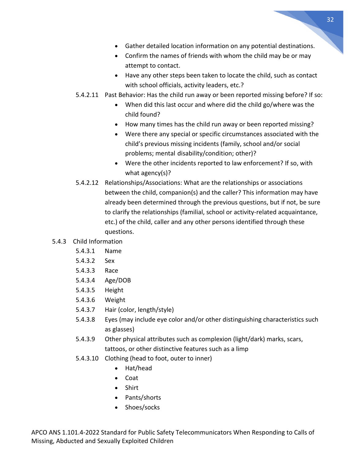- Gather detailed location information on any potential destinations.
- Confirm the names of friends with whom the child may be or may attempt to contact.
- Have any other steps been taken to locate the child, such as contact with school officials, activity leaders, etc.?
- 5.4.2.11 Past Behavior: Has the child run away or been reported missing before? If so:
	- When did this last occur and where did the child go/where was the child found?
	- How many times has the child run away or been reported missing?
	- Were there any special or specific circumstances associated with the child's previous missing incidents (family, school and/or social problems; mental disability/condition; other)?
	- Were the other incidents reported to law enforcement? If so, with what agency(s)?
- 5.4.2.12 Relationships/Associations: What are the relationships or associations between the child, companion(s) and the caller? This information may have already been determined through the previous questions, but if not, be sure to clarify the relationships (familial, school or activity-related acquaintance, etc.) of the child, caller and any other persons identified through these questions.

#### 5.4.3 Child Information

- 5.4.3.1 Name
- 5.4.3.2 Sex
- 5.4.3.3 Race
- 5.4.3.4 Age/DOB
- 5.4.3.5 Height
- 5.4.3.6 Weight
- 5.4.3.7 Hair (color, length/style)
- 5.4.3.8 Eyes (may include eye color and/or other distinguishing characteristics such as glasses)
- 5.4.3.9 Other physical attributes such as complexion (light/dark) marks, scars, tattoos, or other distinctive features such as a limp
- 5.4.3.10 Clothing (head to foot, outer to inner)
	- Hat/head
	- Coat
	- Shirt
	- Pants/shorts
	- Shoes/socks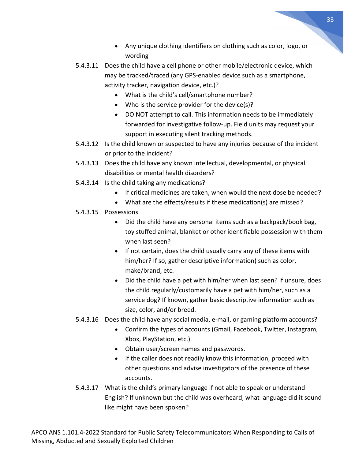- Any unique clothing identifiers on clothing such as color, logo, or wording
- 5.4.3.11 Does the child have a cell phone or other mobile/electronic device, which may be tracked/traced (any GPS-enabled device such as a smartphone, activity tracker, navigation device, etc.)?
	- What is the child's cell/smartphone number?
	- Who is the service provider for the device(s)?
	- DO NOT attempt to call. This information needs to be immediately forwarded for investigative follow-up. Field units may request your support in executing silent tracking methods.
- 5.4.3.12 Is the child known or suspected to have any injuries because of the incident or prior to the incident?
- 5.4.3.13 Does the child have any known intellectual, developmental, or physical disabilities or mental health disorders?
- 5.4.3.14 Is the child taking any medications?
	- If critical medicines are taken, when would the next dose be needed?
	- What are the effects/results if these medication(s) are missed?
- 5.4.3.15 Possessions
	- Did the child have any personal items such as a backpack/book bag, toy stuffed animal, blanket or other identifiable possession with them when last seen?
	- If not certain, does the child usually carry any of these items with him/her? If so, gather descriptive information) such as color, make/brand, etc.
	- Did the child have a pet with him/her when last seen? If unsure, does the child regularly/customarily have a pet with him/her, such as a service dog? If known, gather basic descriptive information such as size, color, and/or breed.
- 5.4.3.16 Does the child have any social media, e-mail, or gaming platform accounts?
	- Confirm the types of accounts (Gmail, Facebook, Twitter, Instagram, Xbox, PlayStation, etc.).
	- Obtain user/screen names and passwords.
	- If the caller does not readily know this information, proceed with other questions and advise investigators of the presence of these accounts.
- 5.4.3.17 What is the child's primary language if not able to speak or understand English? If unknown but the child was overheard, what language did it sound like might have been spoken?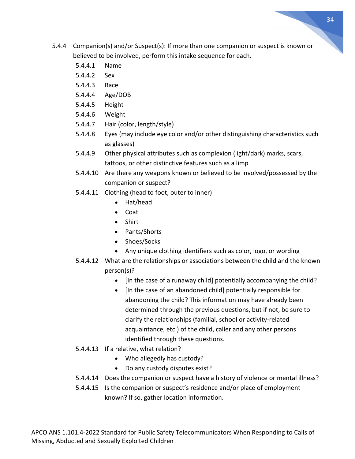- 5.4.4 Companion(s) and/or Suspect(s): If more than one companion or suspect is known or believed to be involved, perform this intake sequence for each.
	- 5.4.4.1 Name
	- 5.4.4.2 Sex
	- 5.4.4.3 Race
	- 5.4.4.4 Age/DOB
	- 5.4.4.5 Height
	- 5.4.4.6 Weight
	- 5.4.4.7 Hair (color, length/style)
	- 5.4.4.8 Eyes (may include eye color and/or other distinguishing characteristics such as glasses)
	- 5.4.4.9 Other physical attributes such as complexion (light/dark) marks, scars, tattoos, or other distinctive features such as a limp
	- 5.4.4.10 Are there any weapons known or believed to be involved/possessed by the companion or suspect?
	- 5.4.4.11 Clothing (head to foot, outer to inner)
		- Hat/head
		- Coat
		- Shirt
		- Pants/Shorts
		- Shoes/Socks
		- Any unique clothing identifiers such as color, logo, or wording
	- 5.4.4.12 What are the relationships or associations between the child and the known person(s)?
		- [In the case of a runaway child] potentially accompanying the child?
		- [In the case of an abandoned child] potentially responsible for abandoning the child? This information may have already been determined through the previous questions, but if not, be sure to clarify the relationships (familial, school or activity-related acquaintance, etc.) of the child, caller and any other persons identified through these questions.
	- 5.4.4.13 If a relative, what relation?
		- Who allegedly has custody?
		- Do any custody disputes exist?
	- 5.4.4.14 Does the companion or suspect have a history of violence or mental illness?
	- 5.4.4.15 Is the companion or suspect's residence and/or place of employment known? If so, gather location information.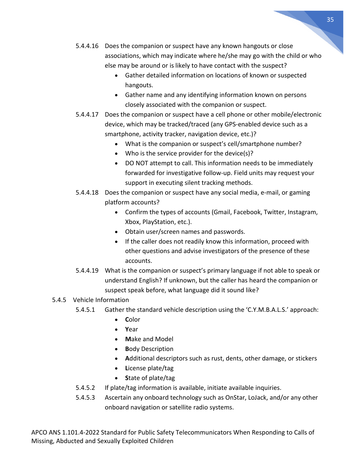- 5.4.4.16 Does the companion or suspect have any known hangouts or close associations, which may indicate where he/she may go with the child or who else may be around or is likely to have contact with the suspect?
	- Gather detailed information on locations of known or suspected hangouts.
	- Gather name and any identifying information known on persons closely associated with the companion or suspect.
- 5.4.4.17 Does the companion or suspect have a cell phone or other mobile/electronic device, which may be tracked/traced (any GPS-enabled device such as a smartphone, activity tracker, navigation device, etc.)?
	- What is the companion or suspect's cell/smartphone number?
	- Who is the service provider for the device(s)?
	- DO NOT attempt to call. This information needs to be immediately forwarded for investigative follow-up. Field units may request your support in executing silent tracking methods.
- 5.4.4.18 Does the companion or suspect have any social media, e-mail, or gaming platform accounts?
	- Confirm the types of accounts (Gmail, Facebook, Twitter, Instagram, Xbox, PlayStation, etc.).
	- Obtain user/screen names and passwords.
	- If the caller does not readily know this information, proceed with other questions and advise investigators of the presence of these accounts.
- 5.4.4.19 What is the companion or suspect's primary language if not able to speak or understand English? If unknown, but the caller has heard the companion or suspect speak before, what language did it sound like?

#### 5.4.5 Vehicle Information

- 5.4.5.1 Gather the standard vehicle description using the 'C.Y.M.B.A.L.S.' approach:
	- **C**olor
	- **Y**ear
	- **M**ake and Model
	- **B**ody Description
	- **A**dditional descriptors such as rust, dents, other damage, or stickers
	- **L**icense plate/tag
	- **S**tate of plate/tag
- 5.4.5.2 If plate/tag information is available, initiate available inquiries.
- 5.4.5.3 Ascertain any onboard technology such as OnStar, LoJack, and/or any other onboard navigation or satellite radio systems.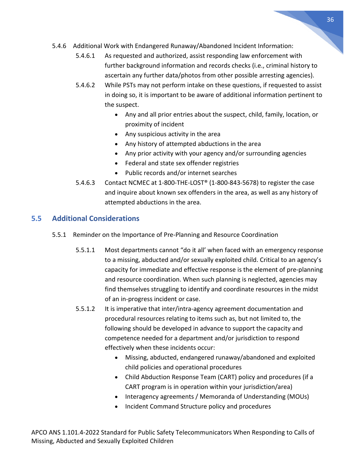- 5.4.6 Additional Work with Endangered Runaway/Abandoned Incident Information:
	- 5.4.6.1 As requested and authorized, assist responding law enforcement with further background information and records checks (i.e., criminal history to ascertain any further data/photos from other possible arresting agencies).
	- 5.4.6.2 While PSTs may not perform intake on these questions, if requested to assist in doing so, it is important to be aware of additional information pertinent to the suspect.
		- Any and all prior entries about the suspect, child, family, location, or proximity of incident
		- Any suspicious activity in the area
		- Any history of attempted abductions in the area
		- Any prior activity with your agency and/or surrounding agencies
		- Federal and state sex offender registries
		- Public records and/or internet searches
	- 5.4.6.3 Contact NCMEC at 1-800-THE-LOST® (1-800-843-5678) to register the case and inquire about known sex offenders in the area, as well as any history of attempted abductions in the area.

#### <span id="page-35-0"></span>**5.5 Additional Considerations**

- 5.5.1 Reminder on the Importance of Pre-Planning and Resource Coordination
	- 5.5.1.1 Most departments cannot "do it all' when faced with an emergency response to a missing, abducted and/or sexually exploited child. Critical to an agency's capacity for immediate and effective response is the element of pre-planning and resource coordination. When such planning is neglected, agencies may find themselves struggling to identify and coordinate resources in the midst of an in-progress incident or case.
	- 5.5.1.2 It is imperative that inter/intra-agency agreement documentation and procedural resources relating to items such as, but not limited to, the following should be developed in advance to support the capacity and competence needed for a department and/or jurisdiction to respond effectively when these incidents occur:
		- Missing, abducted, endangered runaway/abandoned and exploited child policies and operational procedures
		- Child Abduction Response Team (CART) policy and procedures (if a CART program is in operation within your jurisdiction/area)
		- Interagency agreements / Memoranda of Understanding (MOUs)
		- Incident Command Structure policy and procedures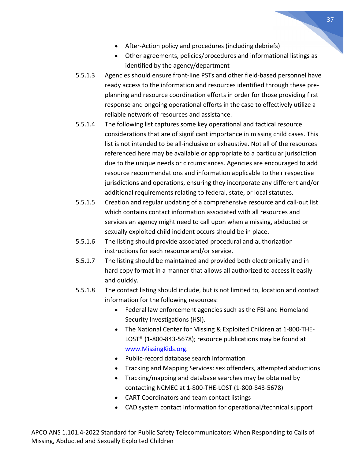- After-Action policy and procedures (including debriefs)
- Other agreements, policies/procedures and informational listings as identified by the agency/department
- 5.5.1.3 Agencies should ensure front-line PSTs and other field-based personnel have ready access to the information and resources identified through these preplanning and resource coordination efforts in order for those providing first response and ongoing operational efforts in the case to effectively utilize a reliable network of resources and assistance.
- 5.5.1.4 The following list captures some key operational and tactical resource considerations that are of significant importance in missing child cases. This list is not intended to be all-inclusive or exhaustive. Not all of the resources referenced here may be available or appropriate to a particular jurisdiction due to the unique needs or circumstances. Agencies are encouraged to add resource recommendations and information applicable to their respective jurisdictions and operations, ensuring they incorporate any different and/or additional requirements relating to federal, state, or local statutes.
- 5.5.1.5 Creation and regular updating of a comprehensive resource and call-out list which contains contact information associated with all resources and services an agency might need to call upon when a missing, abducted or sexually exploited child incident occurs should be in place.
- 5.5.1.6 The listing should provide associated procedural and authorization instructions for each resource and/or service.
- 5.5.1.7 The listing should be maintained and provided both electronically and in hard copy format in a manner that allows all authorized to access it easily and quickly.
- 5.5.1.8 The contact listing should include, but is not limited to, location and contact information for the following resources:
	- Federal law enforcement agencies such as the FBI and Homeland Security Investigations (HSI).
	- The National Center for Missing & Exploited Children at 1-800-THE-LOST® (1-800-843-5678); resource publications may be found at [www.MissingKids.org.](http://www.missingkids.org/)
	- Public-record database search information
	- Tracking and Mapping Services: sex offenders, attempted abductions
	- Tracking/mapping and database searches may be obtained by contacting NCMEC at 1-800-THE-LOST (1-800-843-5678)
	- CART Coordinators and team contact listings
	- CAD system contact information for operational/technical support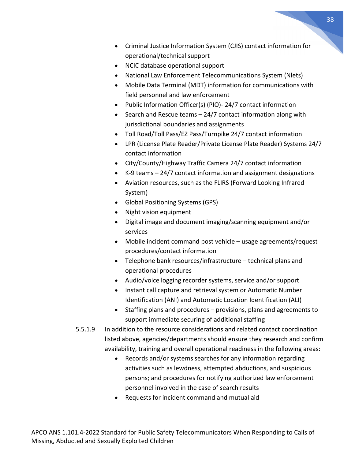- Criminal Justice Information System (CJIS) contact information for operational/technical support
- NCIC database operational support
- National Law Enforcement Telecommunications System (Nlets)
- Mobile Data Terminal (MDT) information for communications with field personnel and law enforcement
- Public Information Officer(s) (PIO)- 24/7 contact information
- Search and Rescue teams 24/7 contact information along with jurisdictional boundaries and assignments
- Toll Road/Toll Pass/EZ Pass/Turnpike 24/7 contact information
- LPR (License Plate Reader/Private License Plate Reader) Systems 24/7 contact information
- City/County/Highway Traffic Camera 24/7 contact information
- K-9 teams 24/7 contact information and assignment designations
- Aviation resources, such as the FLIRS (Forward Looking Infrared System)
- Global Positioning Systems (GPS)
- Night vision equipment
- Digital image and document imaging/scanning equipment and/or services
- Mobile incident command post vehicle usage agreements/request procedures/contact information
- Telephone bank resources/infrastructure technical plans and operational procedures
- Audio/voice logging recorder systems, service and/or support
- Instant call capture and retrieval system or Automatic Number Identification (ANI) and Automatic Location Identification (ALI)
- Staffing plans and procedures provisions, plans and agreements to support immediate securing of additional staffing
- 5.5.1.9 In addition to the resource considerations and related contact coordination listed above, agencies/departments should ensure they research and confirm availability, training and overall operational readiness in the following areas:
	- Records and/or systems searches for any information regarding activities such as lewdness, attempted abductions, and suspicious persons; and procedures for notifying authorized law enforcement personnel involved in the case of search results
	- Requests for incident command and mutual aid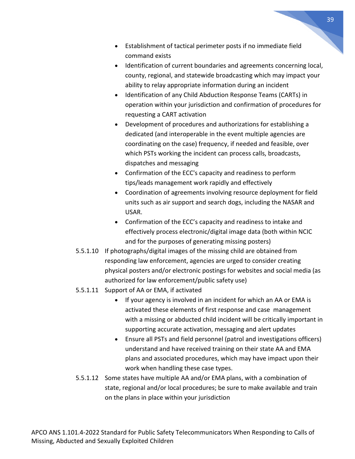- Establishment of tactical perimeter posts if no immediate field command exists
- Identification of current boundaries and agreements concerning local, county, regional, and statewide broadcasting which may impact your ability to relay appropriate information during an incident
- Identification of any Child Abduction Response Teams (CARTs) in operation within your jurisdiction and confirmation of procedures for requesting a CART activation
- Development of procedures and authorizations for establishing a dedicated (and interoperable in the event multiple agencies are coordinating on the case) frequency, if needed and feasible, over which PSTs working the incident can process calls, broadcasts, dispatches and messaging
- Confirmation of the ECC's capacity and readiness to perform tips/leads management work rapidly and effectively
- Coordination of agreements involving resource deployment for field units such as air support and search dogs, including the NASAR and USAR.
- Confirmation of the ECC's capacity and readiness to intake and effectively process electronic/digital image data (both within NCIC and for the purposes of generating missing posters)
- 5.5.1.10 If photographs/digital images of the missing child are obtained from responding law enforcement, agencies are urged to consider creating physical posters and/or electronic postings for websites and social media (as authorized for law enforcement/public safety use)
- 5.5.1.11 Support of AA or EMA, if activated
	- If your agency is involved in an incident for which an AA or EMA is activated these elements of first response and case management with a missing or abducted child incident will be critically important in supporting accurate activation, messaging and alert updates
	- Ensure all PSTs and field personnel (patrol and investigations officers) understand and have received training on their state AA and EMA plans and associated procedures, which may have impact upon their work when handling these case types.
- 5.5.1.12 Some states have multiple AA and/or EMA plans, with a combination of state, regional and/or local procedures; be sure to make available and train on the plans in place within your jurisdiction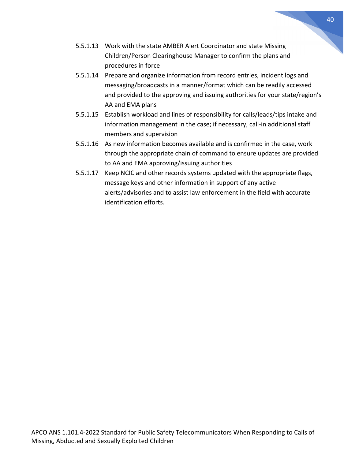- 5.5.1.13 Work with the state AMBER Alert Coordinator and state Missing Children/Person Clearinghouse Manager to confirm the plans and procedures in force
- 5.5.1.14 Prepare and organize information from record entries, incident logs and messaging/broadcasts in a manner/format which can be readily accessed and provided to the approving and issuing authorities for your state/region's AA and EMA plans
- 5.5.1.15 Establish workload and lines of responsibility for calls/leads/tips intake and information management in the case; if necessary, call-in additional staff members and supervision
- 5.5.1.16 As new information becomes available and is confirmed in the case, work through the appropriate chain of command to ensure updates are provided to AA and EMA approving/issuing authorities
- 5.5.1.17 Keep NCIC and other records systems updated with the appropriate flags, message keys and other information in support of any active alerts/advisories and to assist law enforcement in the field with accurate identification efforts.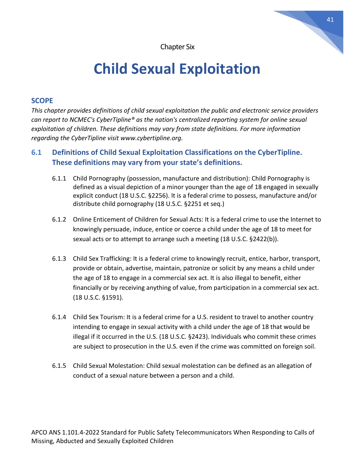Chapter Six

# **Child Sexual Exploitation**

#### <span id="page-40-0"></span>**SCOPE**

*This chapter provides definitions of child sexual exploitation the public and electronic service providers can report to NCMEC's CyberTipline® as the nation's centralized reporting system for online sexual exploitation of children. These definitions may vary from state definitions. For more information regarding the CyberTipline visit www.cybertipline.org.*

#### <span id="page-40-1"></span>**6.1 Definitions of Child Sexual Exploitation Classifications on the CyberTipline. These definitions may vary from your state's definitions.**

- 6.1.1 Child Pornography (possession, manufacture and distribution): Child Pornography is defined as a visual depiction of a minor younger than the age of 18 engaged in sexually explicit conduct (18 U.S.C. §2256). It is a federal crime to possess, manufacture and/or distribute child pornography (18 U.S.C. §2251 et seq.)
- 6.1.2 Online Enticement of Children for Sexual Acts: It is a federal crime to use the Internet to knowingly persuade, induce, entice or coerce a child under the age of 18 to meet for sexual acts or to attempt to arrange such a meeting (18 U.S.C. §2422(b)).
- 6.1.3 Child Sex Trafficking: It is a federal crime to knowingly recruit, entice, harbor, transport, provide or obtain, advertise, maintain, patronize or solicit by any means a child under the age of 18 to engage in a commercial sex act. It is also illegal to benefit, either financially or by receiving anything of value, from participation in a commercial sex act. (18 U.S.C. §1591).
- 6.1.4 Child Sex Tourism: It is a federal crime for a U.S. resident to travel to another country intending to engage in sexual activity with a child under the age of 18 that would be illegal if it occurred in the U.S. (18 U.S.C. §2423). Individuals who commit these crimes are subject to prosecution in the U.S. even if the crime was committed on foreign soil.
- 6.1.5 Child Sexual Molestation: Child sexual molestation can be defined as an allegation of conduct of a sexual nature between a person and a child.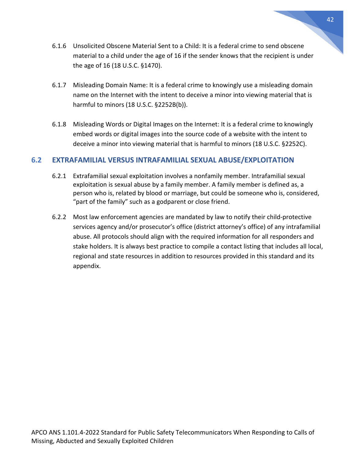- 6.1.6 Unsolicited Obscene Material Sent to a Child: It is a federal crime to send obscene material to a child under the age of 16 if the sender knows that the recipient is under the age of 16 (18 U.S.C. §1470).
- 6.1.7 Misleading Domain Name: It is a federal crime to knowingly use a misleading domain name on the Internet with the intent to deceive a minor into viewing material that is harmful to minors (18 U.S.C. §2252B(b)).
- 6.1.8 Misleading Words or Digital Images on the Internet: It is a federal crime to knowingly embed words or digital images into the source code of a website with the intent to deceive a minor into viewing material that is harmful to minors (18 U.S.C. §2252C).

#### <span id="page-41-0"></span>**6.2 EXTRAFAMILIAL VERSUS INTRAFAMILIAL SEXUAL ABUSE/EXPLOITATION**

- 6.2.1 Extrafamilial sexual exploitation involves a nonfamily member. Intrafamilial sexual exploitation is sexual abuse by a family member. A family member is defined as, a person who is, related by blood or marriage, but could be someone who is, considered, "part of the family" such as a godparent or close friend.
- 6.2.2 Most law enforcement agencies are mandated by law to notify their child-protective services agency and/or prosecutor's office (district attorney's office) of any intrafamilial abuse. All protocols should align with the required information for all responders and stake holders. It is always best practice to compile a contact listing that includes all local, regional and state resources in addition to resources provided in this standard and its appendix.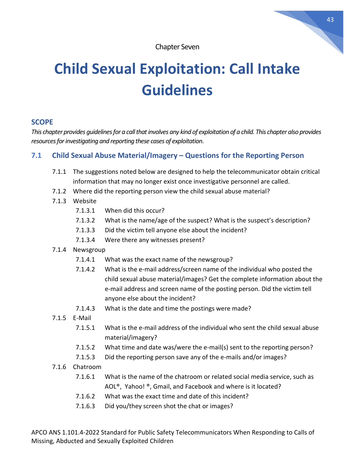Chapter Seven

# <span id="page-42-0"></span>**Child Sexual Exploitation: Call Intake Guidelines**

#### **SCOPE**

*This chapter provides guidelines for a call that involves any kind of exploitation of a child. This chapter also provides resources for investigating and reporting these cases of exploitation*.

#### **7.1 Child Sexual Abuse Material/Imagery – Questions for the Reporting Person**

- <span id="page-42-1"></span>7.1.1 The suggestions noted below are designed to help the telecommunicator obtain critical information that may no longer exist once investigative personnel are called.
- 7.1.2 Where did the reporting person view the child sexual abuse material?
- 7.1.3 Website
	- 7.1.3.1 When did this occur?
	- 7.1.3.2 What is the name/age of the suspect? What is the suspect's description?
	- 7.1.3.3 Did the victim tell anyone else about the incident?
	- 7.1.3.4 Were there any witnesses present?
- 7.1.4 Newsgroup
	- 7.1.4.1 What was the exact name of the newsgroup?
	- 7.1.4.2 What is the e-mail address/screen name of the individual who posted the child sexual abuse material/images? Get the complete information about the e-mail address and screen name of the posting person. Did the victim tell anyone else about the incident?
	- 7.1.4.3 What is the date and time the postings were made?
- 7.1.5 E-Mail
	- 7.1.5.1 What is the e-mail address of the individual who sent the child sexual abuse material/imagery?
	- 7.1.5.2 What time and date was/were the e-mail(s) sent to the reporting person?
	- 7.1.5.3 Did the reporting person save any of the e-mails and/or images?
- 7.1.6 Chatroom
	- 7.1.6.1 What is the name of the chatroom or related social media service, such as AOL®, Yahoo! ®, Gmail, and Facebook and where is it located?
	- 7.1.6.2 What was the exact time and date of this incident?
	- 7.1.6.3 Did you/they screen shot the chat or images?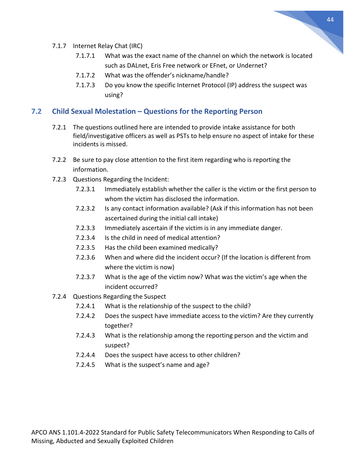

- 7.1.7 Internet Relay Chat (IRC)
	- 7.1.7.1 What was the exact name of the channel on which the network is located such as DALnet, Eris Free network or EFnet, or Undernet?
	- 7.1.7.2 What was the offender's nickname/handle?
	- 7.1.7.3 Do you know the specific Internet Protocol (IP) address the suspect was using?

#### <span id="page-43-0"></span>**7.2 Child Sexual Molestation – Questions for the Reporting Person**

- 7.2.1 The questions outlined here are intended to provide intake assistance for both field/investigative officers as well as PSTs to help ensure no aspect of intake for these incidents is missed.
- 7.2.2 Be sure to pay close attention to the first item regarding who is reporting the information.
- 7.2.3 Questions Regarding the Incident:
	- 7.2.3.1 Immediately establish whether the caller is the victim or the first person to whom the victim has disclosed the information.
	- 7.2.3.2 Is any contact information available? (Ask if this information has not been ascertained during the initial call intake)
	- 7.2.3.3 Immediately ascertain if the victim is in any immediate danger.
	- 7.2.3.4 Is the child in need of medical attention?
	- 7.2.3.5 Has the child been examined medically?
	- 7.2.3.6 When and where did the incident occur? (If the location is different from where the victim is now)
	- 7.2.3.7 What is the age of the victim now? What was the victim's age when the incident occurred?
- 7.2.4 Questions Regarding the Suspect
	- 7.2.4.1 What is the relationship of the suspect to the child?
	- 7.2.4.2 Does the suspect have immediate access to the victim? Are they currently together?
	- 7.2.4.3 What is the relationship among the reporting person and the victim and suspect?
	- 7.2.4.4 Does the suspect have access to other children?
	- 7.2.4.5 What is the suspect's name and age?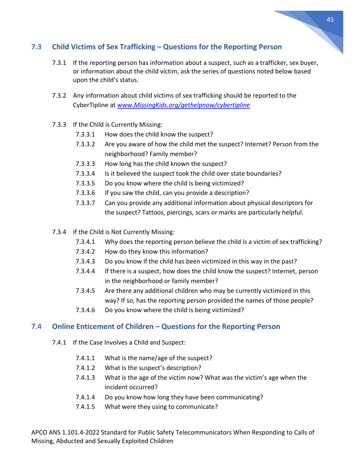#### <span id="page-44-0"></span>**7.3 Child Victims of Sex Trafficking – Questions for the Reporting Person**

- 7.3.1 If the reporting person has information about a suspect, such as a trafficker, sex buyer, or information about the child victim, ask the series of questions noted below based upon the child's status.
- 7.3.2 Any information about child victims of sex trafficking should be reported to the CyberTipline at *[www.MissingKids.org/gethelpnow/cybertipline](http://www.missingkids.org/gethelpnow/cybertipline)*
- 7.3.3 If the Child is Currently Missing:
	- 7.3.3.1 How does the child know the suspect?
	- 7.3.3.2 Are you aware of how the child met the suspect? Internet? Person from the neighborhood? Family member?
	- 7.3.3.3 How long has the child known the suspect?
	- 7.3.3.4 Is it believed the suspect took the child over state boundaries?
	- 7.3.3.5 Do you know where the child is being victimized?
	- 7.3.3.6 If you saw the child, can you provide a description?
	- 7.3.3.7 Can you provide any additional information about physical descriptors for the suspect? Tattoos, piercings, scars or marks are particularly helpful.
- 7.3.4 If the Child is Not Currently Missing:
	- 7.3.4.1 Why does the reporting person believe the child is a victim of sex trafficking?
	- 7.3.4.2 How do they know this information?
	- 7.3.4.3 Do you know if the child has been victimized in this way in the past?
	- 7.3.4.4 If there is a suspect, how does the child know the suspect? Internet, person in the neighborhood or family member?
	- 7.3.4.5 Are there any additional children who may be currently victimized in this way? If so, has the reporting person provided the names of those people?
	- 7.3.4.6 Do you know where the child is being victimized?

#### <span id="page-44-1"></span>**7.4 Online Enticement of Children – Questions for the Reporting Person**

- 7.4.1 If the Case Involves a Child and Suspect:
	- 7.4.1.1 What is the name/age of the suspect?
	- 7.4.1.2 What is the suspect's description?
	- 7.4.1.3 What is the age of the victim now? What was the victim's age when the incident occurred?
	- 7.4.1.4 Do you know how long they have been communicating?
	- 7.4.1.5 What were they using to communicate?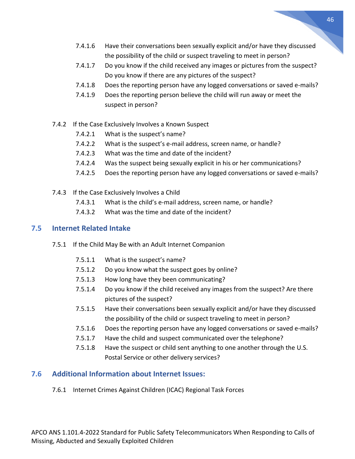- 7.4.1.6 Have their conversations been sexually explicit and/or have they discussed the possibility of the child or suspect traveling to meet in person?
- 7.4.1.7 Do you know if the child received any images or pictures from the suspect? Do you know if there are any pictures of the suspect?
- 7.4.1.8 Does the reporting person have any logged conversations or saved e-mails?
- 7.4.1.9 Does the reporting person believe the child will run away or meet the suspect in person?
- 7.4.2 If the Case Exclusively Involves a Known Suspect
	- 7.4.2.1 What is the suspect's name?
	- 7.4.2.2 What is the suspect's e-mail address, screen name, or handle?
	- 7.4.2.3 What was the time and date of the incident?
	- 7.4.2.4 Was the suspect being sexually explicit in his or her communications?
	- 7.4.2.5 Does the reporting person have any logged conversations or saved e-mails?
- 7.4.3 If the Case Exclusively Involves a Child
	- 7.4.3.1 What is the child's e-mail address, screen name, or handle?
	- 7.4.3.2 What was the time and date of the incident?

#### <span id="page-45-0"></span>**7.5 Internet Related Intake**

- 7.5.1 If the Child May Be with an Adult Internet Companion
	- 7.5.1.1 What is the suspect's name?
	- 7.5.1.2 Do you know what the suspect goes by online?
	- 7.5.1.3 How long have they been communicating?
	- 7.5.1.4 Do you know if the child received any images from the suspect? Are there pictures of the suspect?
	- 7.5.1.5 Have their conversations been sexually explicit and/or have they discussed the possibility of the child or suspect traveling to meet in person?
	- 7.5.1.6 Does the reporting person have any logged conversations or saved e-mails?
	- 7.5.1.7 Have the child and suspect communicated over the telephone?
	- 7.5.1.8 Have the suspect or child sent anything to one another through the U.S. Postal Service or other delivery services?

#### <span id="page-45-1"></span>**7.6 Additional Information about Internet Issues:**

7.6.1 Internet Crimes Against Children (ICAC) Regional Task Forces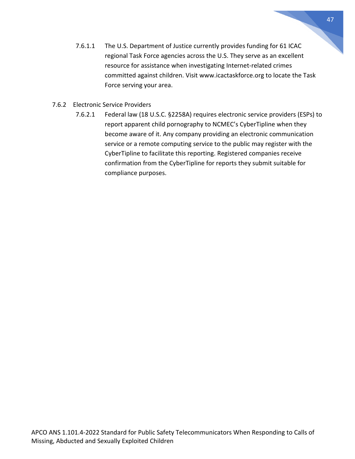- 7.6.1.1 The U.S. Department of Justice currently provides funding for 61 ICAC regional Task Force agencies across the U.S. They serve as an excellent resource for assistance when investigating Internet-related crimes committed against children. Visit www.icactaskforce.org to locate the Task Force serving your area.
- 7.6.2 Electronic Service Providers
	- 7.6.2.1 Federal law (18 U.S.C. §2258A) requires electronic service providers (ESPs) to report apparent child pornography to NCMEC's CyberTipline when they become aware of it. Any company providing an electronic communication service or a remote computing service to the public may register with the CyberTipline to facilitate this reporting. Registered companies receive confirmation from the CyberTipline for reports they submit suitable for compliance purposes.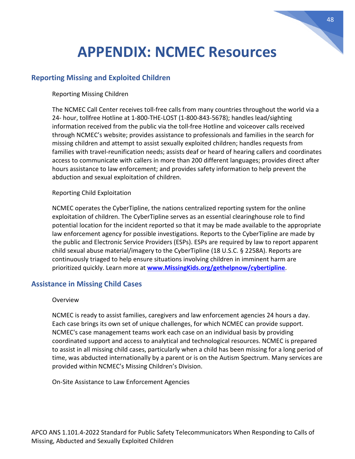# **APPENDIX: NCMEC Resources**

#### <span id="page-47-0"></span>**Reporting Missing and Exploited Children**

Reporting Missing Children

The NCMEC Call Center receives toll-free calls from many countries throughout the world via a 24- hour, tollfree Hotline at 1-800-THE-LOST (1-800-843-5678); handles lead/sighting information received from the public via the toll-free Hotline and voiceover calls received through NCMEC's website; provides assistance to professionals and families in the search for missing children and attempt to assist sexually exploited children; handles requests from families with travel-reunification needs; assists deaf or heard of hearing callers and coordinates access to communicate with callers in more than 200 different languages; provides direct after hours assistance to law enforcement; and provides safety information to help prevent the abduction and sexual exploitation of children.

#### Reporting Child Exploitation

NCMEC operates the CyberTipline, the nations centralized reporting system for the online exploitation of children. The CyberTipline serves as an essential clearinghouse role to find potential location for the incident reported so that it may be made available to the appropriate law enforcement agency for possible investigations. Reports to the CyberTipline are made by the public and Electronic Service Providers (ESPs). ESPs are required by law to report apparent child sexual abuse material/imagery to the CyberTipline (18 U.S.C. § 2258A). Reports are continuously triaged to help ensure situations involving children in imminent harm are prioritized quickly. Learn more at **[www.MissingKids.org/gethelpnow/cybertipline](http://www.missingkids.org/gethelpnow/cybertipline)**.

#### **Assistance in Missing Child Cases**

#### Overview

NCMEC is ready to assist families, caregivers and law enforcement agencies 24 hours a day. Each case brings its own set of unique challenges, for which NCMEC can provide support. NCMEC's case management teams work each case on an individual basis by providing coordinated support and access to analytical and technological resources. NCMEC is prepared to assist in all missing child cases, particularly when a child has been missing for a long period of time, was abducted internationally by a parent or is on the Autism Spectrum. Many services are provided within NCMEC's Missing Children's Division.

On-Site Assistance to Law Enforcement Agencies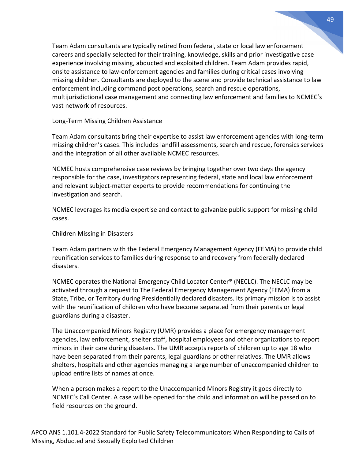Team Adam consultants are typically retired from federal, state or local law enforcement careers and specially selected for their training, knowledge, skills and prior investigative case experience involving missing, abducted and exploited children. Team Adam provides rapid, onsite assistance to law-enforcement agencies and families during critical cases involving missing children. Consultants are deployed to the scene and provide technical assistance to law enforcement including command post operations, search and rescue operations, multijurisdictional case management and connecting law enforcement and families to NCMEC's vast network of resources.

Long-Term Missing Children Assistance

Team Adam consultants bring their expertise to assist law enforcement agencies with long-term missing children's cases. This includes landfill assessments, search and rescue, forensics services and the integration of all other available NCMEC resources.

NCMEC hosts comprehensive case reviews by bringing together over two days the agency responsible for the case, investigators representing federal, state and local law enforcement and relevant subject-matter experts to provide recommendations for continuing the investigation and search.

NCMEC leverages its media expertise and contact to galvanize public support for missing child cases.

Children Missing in Disasters

Team Adam partners with the Federal Emergency Management Agency (FEMA) to provide child reunification services to families during response to and recovery from federally declared disasters.

NCMEC operates the National Emergency Child Locator Center® (NECLC). The NECLC may be activated through a request to The Federal Emergency Management Agency (FEMA) from a State, Tribe, or Territory during Presidentially declared disasters. Its primary mission is to assist with the reunification of children who have become separated from their parents or legal guardians during a disaster.

The Unaccompanied Minors Registry (UMR) provides a place for emergency management agencies, law enforcement, shelter staff, hospital employees and other organizations to report minors in their care during disasters. The UMR accepts reports of children up to age 18 who have been separated from their parents, legal guardians or other relatives. The UMR allows shelters, hospitals and other agencies managing a large number of unaccompanied children to upload entire lists of names at once.

When a person makes a report to the Unaccompanied Minors Registry it goes directly to NCMEC's Call Center. A case will be opened for the child and information will be passed on to field resources on the ground.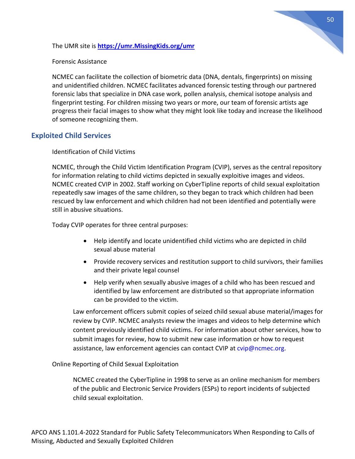The UMR site is **[https://umr.MissingKids.org/umr](https://umr.missingkids.org/umr)**

Forensic Assistance

NCMEC can facilitate the collection of biometric data (DNA, dentals, fingerprints) on missing and unidentified children. NCMEC facilitates advanced forensic testing through our partnered forensic labs that specialize in DNA case work, pollen analysis, chemical isotope analysis and fingerprint testing. For children missing two years or more, our team of forensic artists age progress their facial images to show what they might look like today and increase the likelihood of someone recognizing them.

#### **Exploited Child Services**

Identification of Child Victims

NCMEC, through the Child Victim Identification Program (CVIP), serves as the central repository for information relating to child victims depicted in sexually exploitive images and videos. NCMEC created CVIP in 2002. Staff working on CyberTipline reports of child sexual exploitation repeatedly saw images of the same children, so they began to track which children had been rescued by law enforcement and which children had not been identified and potentially were still in abusive situations.

Today CVIP operates for three central purposes:

- Help identify and locate unidentified child victims who are depicted in child sexual abuse material
- Provide recovery services and restitution support to child survivors, their families and their private legal counsel
- Help verify when sexually abusive images of a child who has been rescued and identified by law enforcement are distributed so that appropriate information can be provided to the victim.

Law enforcement officers submit copies of seized child sexual abuse material/images for review by CVIP. NCMEC analysts review the images and videos to help determine which content previously identified child victims. For information about other services, how to submit images for review, how to submit new case information or how to request assistance, law enforcement agencies can contact CVIP at [cvip@ncmec.org.](mailto:cvip@ncmec.org)

#### Online Reporting of Child Sexual Exploitation

NCMEC created the CyberTipline in 1998 to serve as an online mechanism for members of the public and Electronic Service Providers (ESPs) to report incidents of subjected child sexual exploitation.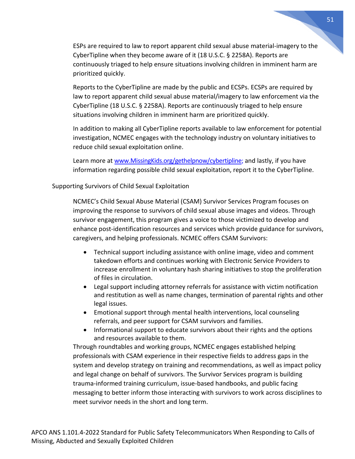ESPs are required to law to report apparent child sexual abuse material-imagery to the CyberTipline when they become aware of it (18 U.S.C. § 2258A). Reports are continuously triaged to help ensure situations involving children in imminent harm are prioritized quickly.

Reports to the CyberTipline are made by the public and ECSPs. ECSPs are required by law to report apparent child sexual abuse material/imagery to law enforcement via the CyberTipline (18 U.S.C. § 2258A). Reports are continuously triaged to help ensure situations involving children in imminent harm are prioritized quickly.

In addition to making all CyberTipline reports available to law enforcement for potential investigation, NCMEC engages with the technology industry on voluntary initiatives to reduce child sexual exploitation online.

Learn more at [www.MissingKids.org/gethelpnow/cybertipline;](http://www.missingkids.org/gethelpnow/cybertipline) and lastly, if you have information regarding possible child sexual exploitation, report it to the CyberTipline.

#### Supporting Survivors of Child Sexual Exploitation

NCMEC's Child Sexual Abuse Material (CSAM) Survivor Services Program focuses on improving the response to survivors of child sexual abuse images and videos. Through survivor engagement, this program gives a voice to those victimized to develop and enhance post-identification resources and services which provide guidance for survivors, caregivers, and helping professionals. NCMEC offers CSAM Survivors:

- Technical support including assistance with online image, video and comment takedown efforts and continues working with Electronic Service Providers to increase enrollment in voluntary hash sharing initiatives to stop the proliferation of files in circulation.
- Legal support including attorney referrals for assistance with victim notification and restitution as well as name changes, termination of parental rights and other legal issues.
- Emotional support through mental health interventions, local counseling referrals, and peer support for CSAM survivors and families.
- Informational support to educate survivors about their rights and the options and resources available to them.

Through roundtables and working groups, NCMEC engages established helping professionals with CSAM experience in their respective fields to address gaps in the system and develop strategy on training and recommendations, as well as impact policy and legal change on behalf of survivors. The Survivor Services program is building trauma-informed training curriculum, issue-based handbooks, and public facing messaging to better inform those interacting with survivors to work across disciplines to meet survivor needs in the short and long term.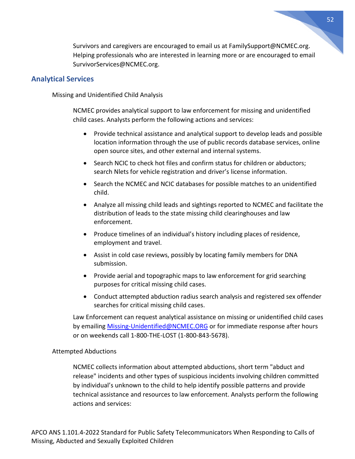Survivors and caregivers are encouraged to email us at [FamilySupport@NCMEC.org.](mailto:FamilySupport@NCMEC.org) Helping professionals who are interested in learning more or are encouraged to email [SurvivorServices@NCMEC.org.](mailto:SurvivorServices@NCMEC.org)

#### **Analytical Services**

Missing and Unidentified Child Analysis

NCMEC provides analytical support to law enforcement for missing and unidentified child cases. Analysts perform the following actions and services:

- Provide technical assistance and analytical support to develop leads and possible location information through the use of public records database services, online open source sites, and other external and internal systems.
- Search NCIC to check hot files and confirm status for children or abductors; search Nlets for vehicle registration and driver's license information.
- Search the NCMEC and NCIC databases for possible matches to an unidentified child.
- Analyze all missing child leads and sightings reported to NCMEC and facilitate the distribution of leads to the state missing child clearinghouses and law enforcement.
- Produce timelines of an individual's history including places of residence, employment and travel.
- Assist in cold case reviews, possibly by locating family members for DNA submission.
- Provide aerial and topographic maps to law enforcement for grid searching purposes for critical missing child cases.
- Conduct attempted abduction radius search analysis and registered sex offender searches for critical missing child cases.

Law Enforcement can request analytical assistance on missing or unidentified child cases by emailin[g Missing-Unidentified@NCMEC.ORG](mailto:Missing-Unidentified@NCMEC.ORG) or for immediate response after hours or on weekends call 1-800-THE-LOST (1-800-843-5678).

#### Attempted Abductions

NCMEC collects information about attempted abductions, short term "abduct and release" incidents and other types of suspicious incidents involving children committed by individual's unknown to the child to help identify possible patterns and provide technical assistance and resources to law enforcement. Analysts perform the following actions and services: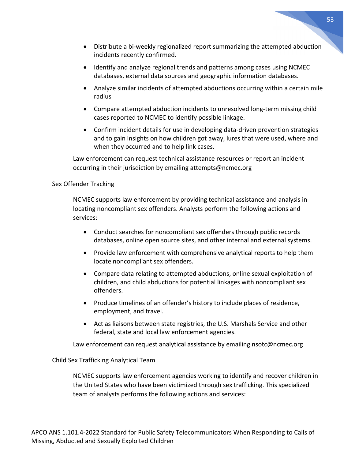- 
- Distribute a bi-weekly regionalized report summarizing the attempted abduction incidents recently confirmed.
- Identify and analyze regional trends and patterns among cases using NCMEC databases, external data sources and geographic information databases.
- Analyze similar incidents of attempted abductions occurring within a certain mile radius
- Compare attempted abduction incidents to unresolved long-term missing child cases reported to NCMEC to identify possible linkage.
- Confirm incident details for use in developing data-driven prevention strategies and to gain insights on how children got away, lures that were used, where and when they occurred and to help link cases.

Law enforcement can request technical assistance resources or report an incident occurring in their jurisdiction by emailing attempts@ncmec.org

#### Sex Offender Tracking

NCMEC supports law enforcement by providing technical assistance and analysis in locating noncompliant sex offenders. Analysts perform the following actions and services:

- Conduct searches for noncompliant sex offenders through public records databases, online open source sites, and other internal and external systems.
- Provide law enforcement with comprehensive analytical reports to help them locate noncompliant sex offenders.
- Compare data relating to attempted abductions, online sexual exploitation of children, and child abductions for potential linkages with noncompliant sex offenders.
- Produce timelines of an offender's history to include places of residence, employment, and travel.
- Act as liaisons between state registries, the U.S. Marshals Service and other federal, state and local law enforcement agencies.

Law enforcement can request analytical assistance by emailing nsotc@ncmec.org

#### Child Sex Trafficking Analytical Team

NCMEC supports law enforcement agencies working to identify and recover children in the United States who have been victimized through sex trafficking. This specialized team of analysts performs the following actions and services: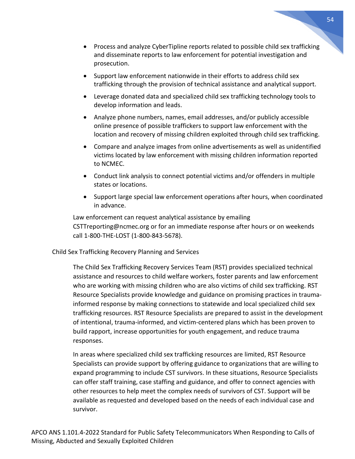- Process and analyze CyberTipline reports related to possible child sex trafficking and disseminate reports to law enforcement for potential investigation and prosecution.
- Support law enforcement nationwide in their efforts to address child sex trafficking through the provision of technical assistance and analytical support.
- Leverage donated data and specialized child sex trafficking technology tools to develop information and leads.
- Analyze phone numbers, names, email addresses, and/or publicly accessible online presence of possible traffickers to support law enforcement with the location and recovery of missing children exploited through child sex trafficking.
- Compare and analyze images from online advertisements as well as unidentified victims located by law enforcement with missing children information reported to NCMEC.
- Conduct link analysis to connect potential victims and/or offenders in multiple states or locations.
- Support large special law enforcement operations after hours, when coordinated in advance.

Law enforcement can request analytical assistance by emailing CSTTreporting@ncmec.org or for an immediate response after hours or on weekends call 1-800-THE-LOST (1-800-843-5678).

#### Child Sex Trafficking Recovery Planning and Services

The Child Sex Trafficking Recovery Services Team (RST) provides specialized technical assistance and resources to child welfare workers, foster parents and law enforcement who are working with missing children who are also victims of child sex trafficking. RST Resource Specialists provide knowledge and guidance on promising practices in traumainformed response by making connections to statewide and local specialized child sex trafficking resources. RST Resource Specialists are prepared to assist in the development of intentional, trauma-informed, and victim-centered plans which has been proven to build rapport, increase opportunities for youth engagement, and reduce trauma responses.

In areas where specialized child sex trafficking resources are limited, RST Resource Specialists can provide support by offering guidance to organizations that are willing to expand programming to include CST survivors. In these situations, Resource Specialists can offer staff training, case staffing and guidance, and offer to connect agencies with other resources to help meet the complex needs of survivors of CST. Support will be available as requested and developed based on the needs of each individual case and survivor.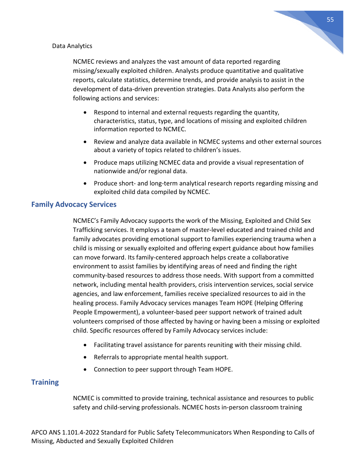![](_page_54_Figure_0.jpeg)

#### Data Analytics

NCMEC reviews and analyzes the vast amount of data reported regarding missing/sexually exploited children. Analysts produce quantitative and qualitative reports, calculate statistics, determine trends, and provide analysis to assist in the development of data-driven prevention strategies. Data Analysts also perform the following actions and services:

- Respond to internal and external requests regarding the quantity, characteristics, status, type, and locations of missing and exploited children information reported to NCMEC.
- Review and analyze data available in NCMEC systems and other external sources about a variety of topics related to children's issues.
- Produce maps utilizing NCMEC data and provide a visual representation of nationwide and/or regional data.
- Produce short- and long-term analytical research reports regarding missing and exploited child data compiled by NCMEC.

#### **Family Advocacy Services**

NCMEC's Family Advocacy supports the work of the Missing, Exploited and Child Sex Trafficking services. It employs a team of master-level educated and trained child and family advocates providing emotional support to families experiencing trauma when a child is missing or sexually exploited and offering expert guidance about how families can move forward. Its family-centered approach helps create a collaborative environment to assist families by identifying areas of need and finding the right community-based resources to address those needs. With support from a committed network, including mental health providers, crisis intervention services, social service agencies, and law enforcement, families receive specialized resources to aid in the healing process. Family Advocacy services manages Team HOPE (Helping Offering People Empowerment), a volunteer-based peer support network of trained adult volunteers comprised of those affected by having or having been a missing or exploited child. Specific resources offered by Family Advocacy services include:

- Facilitating travel assistance for parents reuniting with their missing child.
- Referrals to appropriate mental health support.
- Connection to peer support through Team HOPE.

#### **Training**

NCMEC is committed to provide training, technical assistance and resources to public safety and child-serving professionals. NCMEC hosts in-person classroom training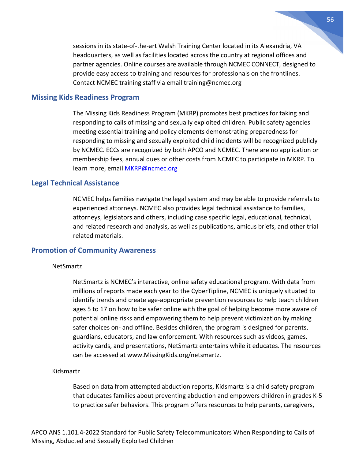sessions in its state-of-the-art Walsh Training Center located in its Alexandria, VA headquarters, as well as facilities located across the country at regional offices and partner agencies. Online courses are available through NCMEC CONNECT, designed to provide easy access to training and resources for professionals on the frontlines. Contact NCMEC training staff via email [training@ncmec.org](mailto:training@ncmec.org) 

#### **Missing Kids Readiness Program**

The Missing Kids Readiness Program (MKRP) promotes best practices for taking and responding to calls of missing and sexually exploited children. Public safety agencies meeting essential training and policy elements demonstrating preparedness for responding to missing and sexually exploited child incidents will be recognized publicly by NCMEC. ECCs are recognized by both APCO and NCMEC. There are no application or membership fees, annual dues or other costs from NCMEC to participate in MKRP. To learn more, email [MKRP@ncmec.org](mailto:MKRP@ncmec.org)

#### **Legal Technical Assistance**

NCMEC helps families navigate the legal system and may be able to provide referrals to experienced attorneys. NCMEC also provides legal technical assistance to families, attorneys, legislators and others, including case specific legal, educational, technical, and related research and analysis, as well as publications, amicus briefs, and other trial related materials.

#### **Promotion of Community Awareness**

#### NetSmartz

NetSmartz is NCMEC's interactive, online safety educational program. With data from millions of reports made each year to the CyberTipline, NCMEC is uniquely situated to identify trends and create age-appropriate prevention resources to help teach children ages 5 to 17 on how to be safer online with the goal of helping become more aware of potential online risks and empowering them to help prevent victimization by making safer choices on- and offline. Besides children, the program is designed for parents, guardians, educators, and law enforcement. With resources such as videos, games, activity cards, and presentations, NetSmartz entertains while it educates. The resources can be accessed at www.MissingKids.org/netsmartz.

#### Kidsmartz

Based on data from attempted abduction reports, Kidsmartz is a child safety program that educates families about preventing abduction and empowers children in grades K-5 to practice safer behaviors. This program offers resources to help parents, caregivers,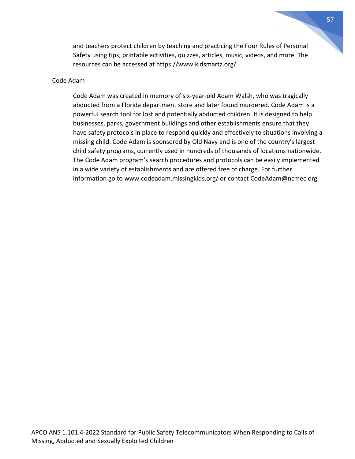and teachers protect children by teaching and practicing the Four Rules of Personal Safety using tips, printable activities, quizzes, articles, music, videos, and more. The resources can be accessed at https://www.kidsmartz.org/

#### Code Adam

Code Adam was created in memory of six-year-old Adam Walsh, who was tragically abducted from a Florida department store and later found murdered. Code Adam is a powerful search tool for lost and potentially abducted children. It is designed to help businesses, parks, government buildings and other establishments ensure that they have safety protocols in place to respond quickly and effectively to situations involving a missing child. Code Adam is sponsored by Old Navy and is one of the country's largest child safety programs, currently used in hundreds of thousands of locations nationwide. The Code Adam program's search procedures and protocols can be easily implemented in a wide variety of establishments and are offered free of charge. For further information go to www.codeadam.missingkids.org/ or contact CodeAdam@ncmec.org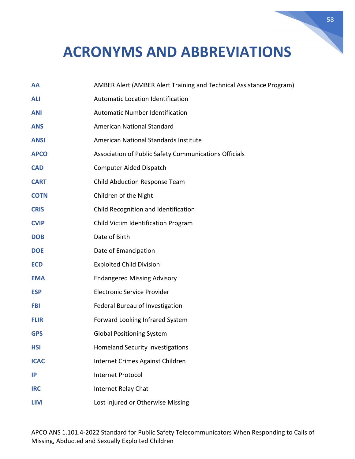# <span id="page-57-0"></span>**ACRONYMS AND ABBREVIATIONS**

| AA          | AMBER Alert (AMBER Alert Training and Technical Assistance Program) |
|-------------|---------------------------------------------------------------------|
| <b>ALI</b>  | <b>Automatic Location Identification</b>                            |
| <b>ANI</b>  | <b>Automatic Number Identification</b>                              |
| <b>ANS</b>  | American National Standard                                          |
| <b>ANSI</b> | American National Standards Institute                               |
| <b>APCO</b> | Association of Public Safety Communications Officials               |
| <b>CAD</b>  | Computer Aided Dispatch                                             |
| <b>CART</b> | Child Abduction Response Team                                       |
| <b>COTN</b> | Children of the Night                                               |
| <b>CRIS</b> | Child Recognition and Identification                                |
| <b>CVIP</b> | Child Victim Identification Program                                 |
| <b>DOB</b>  | Date of Birth                                                       |
| <b>DOE</b>  | Date of Emancipation                                                |
| <b>ECD</b>  | <b>Exploited Child Division</b>                                     |
| <b>EMA</b>  | <b>Endangered Missing Advisory</b>                                  |
| <b>ESP</b>  | <b>Electronic Service Provider</b>                                  |
| FBI         | Federal Bureau of Investigation                                     |
| <b>FLIR</b> | Forward Looking Infrared System                                     |
| <b>GPS</b>  | <b>Global Positioning System</b>                                    |
| <b>HSI</b>  | <b>Homeland Security Investigations</b>                             |
| <b>ICAC</b> | Internet Crimes Against Children                                    |
| IP          | <b>Internet Protocol</b>                                            |
| <b>IRC</b>  | Internet Relay Chat                                                 |
| <b>LIM</b>  | Lost Injured or Otherwise Missing                                   |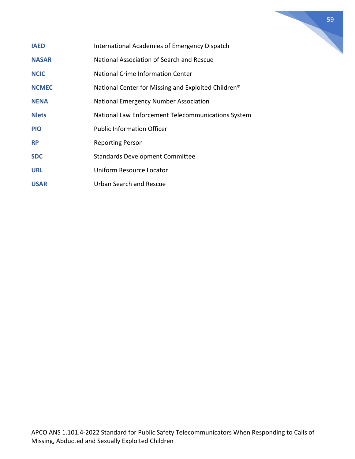![](_page_58_Figure_0.jpeg)

- **IAED** International Academies of Emergency Dispatch
- **NASAR** National Association of Search and Rescue
- **NCIC** National Crime Information Center
- **NCMEC** National Center for Missing and Exploited Children<sup>®</sup>
- **NENA National Emergency Number Association**
- **Nlets** National Law Enforcement Telecommunications System
- **PIO** Public Information Officer
- **RP** Reporting Person
- **SDC** Standards Development Committee
- **URL Uniform Resource Locator**
- **USAR** Urban Search and Rescue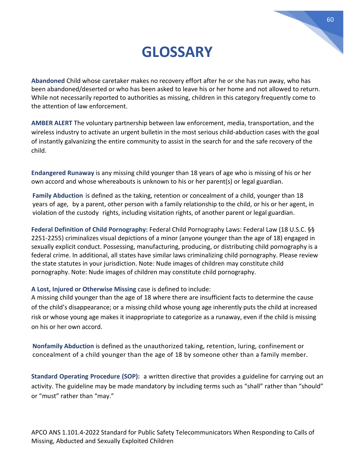## **GLOSSARY**

<span id="page-59-0"></span>**Abandoned** Child whose caretaker makes no recovery effort after he or she has run away, who has been abandoned/deserted or who has been asked to leave his or her home and not allowed to return. While not necessarily reported to authorities as missing, children in this category frequently come to the attention of law enforcement.

**AMBER ALERT** The voluntary partnership between law enforcement, media, transportation, and the wireless industry to activate an urgent bulletin in the most serious child-abduction cases with the goal of instantly galvanizing the entire community to assist in the search for and the safe recovery of the child.

**Endangered Runaway** is any missing child younger than 18 years of age who is missing of his or her own accord and whose whereabouts is unknown to his or her parent(s) or legal guardian.

**Family Abduction** is defined as the taking, retention or concealment of a child, younger than 18 years of age, by a parent, other person with a family relationship to the child, or his or her agent, in violation of the custody rights, including visitation rights, of another parent or legal guardian.

**Federal Definition of Child Pornography:** Federal Child Pornography Laws: Federal Law (18 U.S.C. §§ 2251-2255) criminalizes visual depictions of a minor (anyone younger than the age of 18) engaged in sexually explicit conduct. Possessing, manufacturing, producing, or distributing child pornography is a federal crime. In additional, all states have similar laws criminalizing child pornography. Please review the state statutes in your jurisdiction. Note: Nude images of children may constitute child pornography. Note: Nude images of children may constitute child pornography.

#### **A Lost, Injured or Otherwise Missing** case is defined to include:

A missing child younger than the age of 18 where there are insufficient facts to determine the cause of the child's disappearance; or a missing child whose young age inherently puts the child at increased risk or whose young age makes it inappropriate to categorize as a runaway, even if the child is missing on his or her own accord.

**Nonfamily Abduction** is defined as the unauthorized taking, retention, luring, confinement or concealment of a child younger than the age of 18 by someone other than a family member.

**Standard Operating Procedure (SOP):** a written directive that provides a guideline for carrying out an activity. The guideline may be made mandatory by including terms such as "shall" rather than "should" or "must" rather than "may."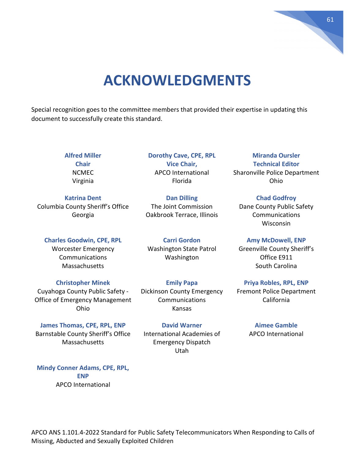# 61

## **ACKNOWLEDGMENTS**

<span id="page-60-0"></span>Special recognition goes to the committee members that provided their expertise in updating this document to successfully create this standard.

> **Alfred Miller Chair** NCMEC Virginia

**Katrina Dent** Columbia County Sheriff's Office Georgia

**Charles Goodwin, CPE, RPL** Worcester Emergency Communications **Massachusetts** 

**Christopher Minek** Cuyahoga County Public Safety - Office of Emergency Management Ohio

**James Thomas, CPE, RPL, ENP** Barnstable County Sheriff's Office **Massachusetts** 

Oakbrook Terrace, Illinois **Carri Gordon**

**Dan Dilling** The Joint Commission

**Dorothy Cave, CPE, RPL Vice Chair,** APCO International Florida

Washington State Patrol Washington

**Emily Papa** Dickinson County Emergency Communications Kansas

**David Warner** International Academies of Emergency Dispatch Utah

**Miranda Oursler Technical Editor** Sharonville Police Department Ohio

**Chad Godfroy** Dane County Public Safety Communications **Wisconsin** 

**Amy McDowell, ENP** Greenville County Sheriff's Office E911 South Carolina

**Priya Robles, RPL, ENP** Fremont Police Department California

> **Aimee Gamble** APCO International

**Mindy Conner Adams, CPE, RPL, ENP** APCO International

APCO ANS 1.101.4-2022 Standard for Public Safety Telecommunicators When Responding to Calls of Missing, Abducted and Sexually Exploited Children